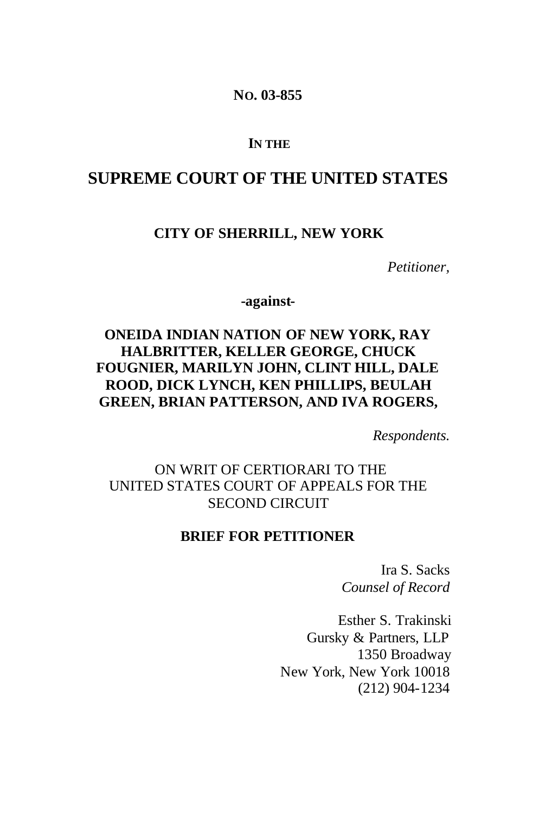**NO. 03-855**

#### **IN THE**

## **SUPREME COURT OF THE UNITED STATES**

#### **CITY OF SHERRILL, NEW YORK**

*Petitioner,*

**-against-**

## **ONEIDA INDIAN NATION OF NEW YORK, RAY HALBRITTER, KELLER GEORGE, CHUCK FOUGNIER, MARILYN JOHN, CLINT HILL, DALE ROOD, DICK LYNCH, KEN PHILLIPS, BEULAH GREEN, BRIAN PATTERSON, AND IVA ROGERS,**

*Respondents.*

### ON WRIT OF CERTIORARI TO THE UNITED STATES COURT OF APPEALS FOR THE SECOND CIRCUIT

#### **BRIEF FOR PETITIONER**

Ira S. Sacks *Counsel of Record*

Esther S. Trakinski Gursky & Partners, LLP 1350 Broadway New York, New York 10018 (212) 904-1234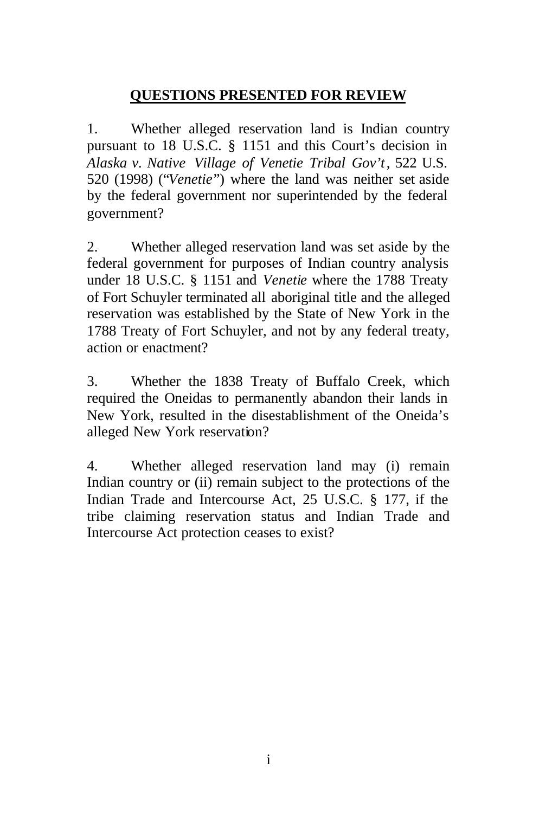## **QUESTIONS PRESENTED FOR REVIEW**

1. Whether alleged reservation land is Indian country pursuant to 18 U.S.C. § 1151 and this Court's decision in *Alaska v. Native Village of Venetie Tribal Gov't*, 522 U.S. 520 (1998) ("*Venetie*") where the land was neither set aside by the federal government nor superintended by the federal government?

2. Whether alleged reservation land was set aside by the federal government for purposes of Indian country analysis under 18 U.S.C. § 1151 and *Venetie* where the 1788 Treaty of Fort Schuyler terminated all aboriginal title and the alleged reservation was established by the State of New York in the 1788 Treaty of Fort Schuyler, and not by any federal treaty, action or enactment?

3. Whether the 1838 Treaty of Buffalo Creek, which required the Oneidas to permanently abandon their lands in New York, resulted in the disestablishment of the Oneida's alleged New York reservation?

4. Whether alleged reservation land may (i) remain Indian country or (ii) remain subject to the protections of the Indian Trade and Intercourse Act, 25 U.S.C. § 177, if the tribe claiming reservation status and Indian Trade and Intercourse Act protection ceases to exist?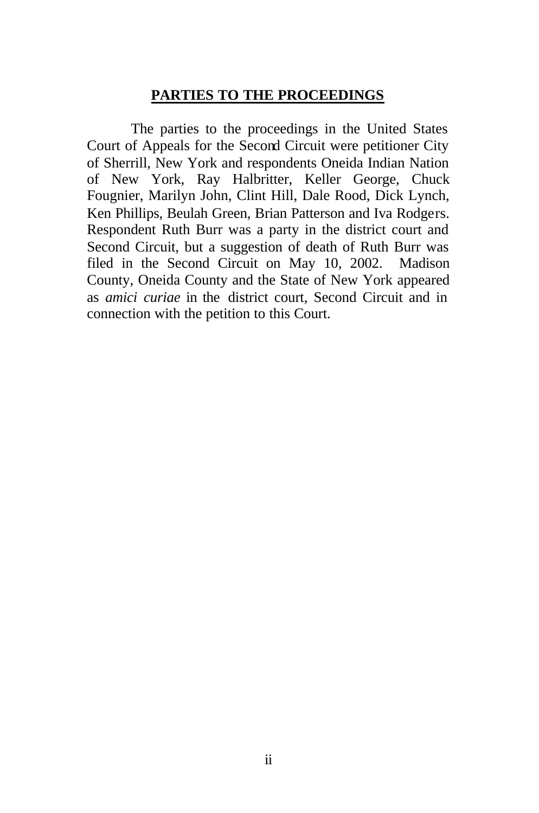### **PARTIES TO THE PROCEEDINGS**

The parties to the proceedings in the United States Court of Appeals for the Second Circuit were petitioner City of Sherrill, New York and respondents Oneida Indian Nation of New York, Ray Halbritter, Keller George, Chuck Fougnier, Marilyn John, Clint Hill, Dale Rood, Dick Lynch, Ken Phillips, Beulah Green, Brian Patterson and Iva Rodgers. Respondent Ruth Burr was a party in the district court and Second Circuit, but a suggestion of death of Ruth Burr was filed in the Second Circuit on May 10, 2002. Madison County, Oneida County and the State of New York appeared as *amici curiae* in the district court, Second Circuit and in connection with the petition to this Court.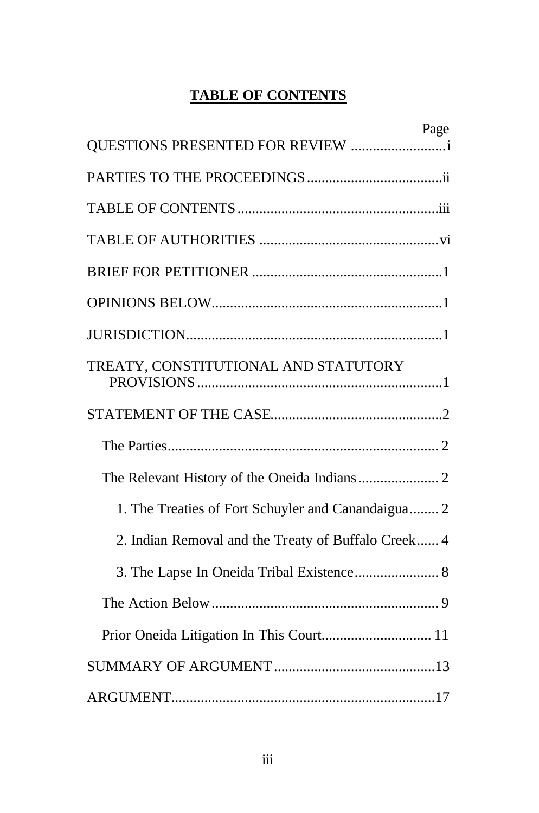# **TABLE OF CONTENTS**

|                                                     | Page |
|-----------------------------------------------------|------|
| QUESTIONS PRESENTED FOR REVIEW                      |      |
|                                                     |      |
|                                                     |      |
|                                                     |      |
|                                                     |      |
|                                                     |      |
|                                                     |      |
| TREATY, CONSTITUTIONAL AND STATUTORY                |      |
|                                                     |      |
|                                                     |      |
|                                                     |      |
| 1. The Treaties of Fort Schuyler and Canandaigua 2  |      |
| 2. Indian Removal and the Treaty of Buffalo Creek 4 |      |
|                                                     |      |
|                                                     |      |
|                                                     |      |
|                                                     |      |
|                                                     |      |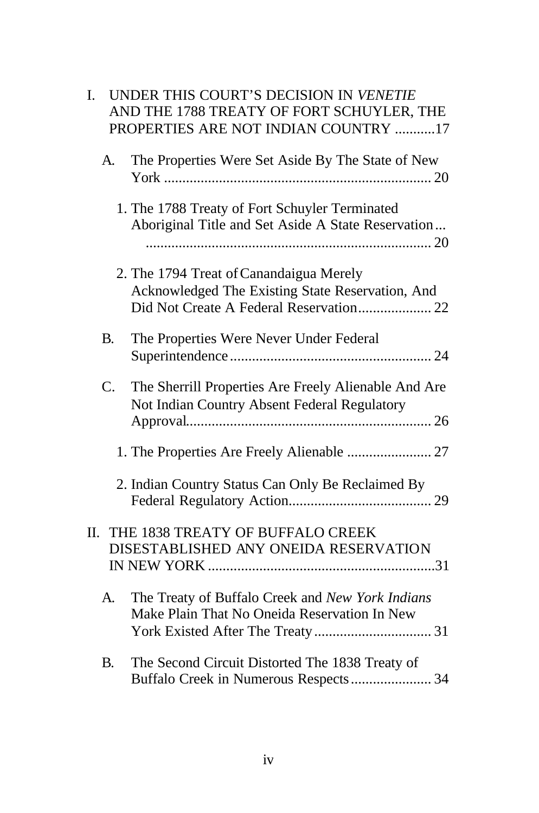| I.             | UNDER THIS COURT'S DECISION IN VENETIE<br>AND THE 1788 TREATY OF FORT SCHUYLER, THE<br>PROPERTIES ARE NOT INDIAN COUNTRY 17            |
|----------------|----------------------------------------------------------------------------------------------------------------------------------------|
| A.             | The Properties Were Set Aside By The State of New                                                                                      |
|                | 1. The 1788 Treaty of Fort Schuyler Terminated<br>Aboriginal Title and Set Aside A State Reservation                                   |
|                | 2. The 1794 Treat of Canandaigua Merely<br>Acknowledged The Existing State Reservation, And<br>Did Not Create A Federal Reservation 22 |
| <b>B.</b>      | The Properties Were Never Under Federal                                                                                                |
| $\mathbf{C}$ . | The Sherrill Properties Are Freely Alienable And Are<br>Not Indian Country Absent Federal Regulatory                                   |
|                | 1. The Properties Are Freely Alienable  27                                                                                             |
|                | 2. Indian Country Status Can Only Be Reclaimed By                                                                                      |
|                | II. THE 1838 TREATY OF BUFFALO CREEK<br>DISESTABLISHED ANY ONEIDA RESERVATION                                                          |
| A.             | The Treaty of Buffalo Creek and New York Indians<br>Make Plain That No Oneida Reservation In New                                       |
| <b>B.</b>      | The Second Circuit Distorted The 1838 Treaty of                                                                                        |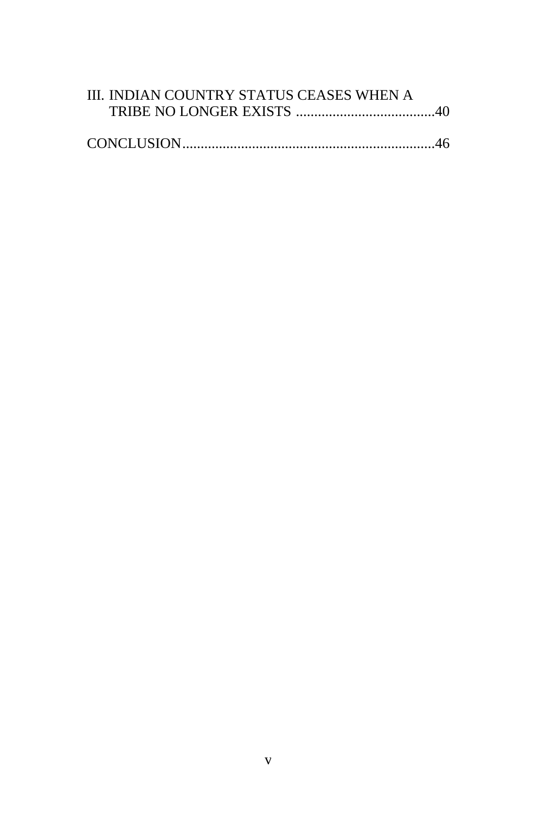| III. INDIAN COUNTRY STATUS CEASES WHEN A |  |
|------------------------------------------|--|
|                                          |  |
|                                          |  |
|                                          |  |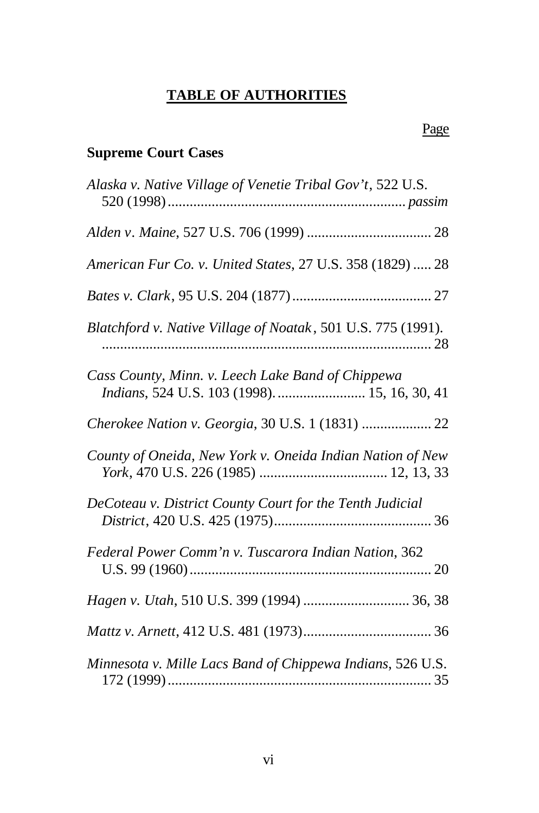# **TABLE OF AUTHORITIES**

## Page

# **Supreme Court Cases**

| Alaska v. Native Village of Venetie Tribal Gov't, 522 U.S.                                         |
|----------------------------------------------------------------------------------------------------|
|                                                                                                    |
| American Fur Co. v. United States, 27 U.S. 358 (1829)  28                                          |
|                                                                                                    |
| Blatchford v. Native Village of Noatak, 501 U.S. 775 (1991).                                       |
| Cass County, Minn. v. Leech Lake Band of Chippewa<br>Indians, 524 U.S. 103 (1998).  15, 16, 30, 41 |
| Cherokee Nation v. Georgia, 30 U.S. 1 (1831)  22                                                   |
| County of Oneida, New York v. Oneida Indian Nation of New                                          |
| DeCoteau v. District County Court for the Tenth Judicial                                           |
| Federal Power Comm'n v. Tuscarora Indian Nation, 362                                               |
| Hagen v. Utah, 510 U.S. 399 (1994)  36, 38                                                         |
|                                                                                                    |
| Minnesota v. Mille Lacs Band of Chippewa Indians, 526 U.S.                                         |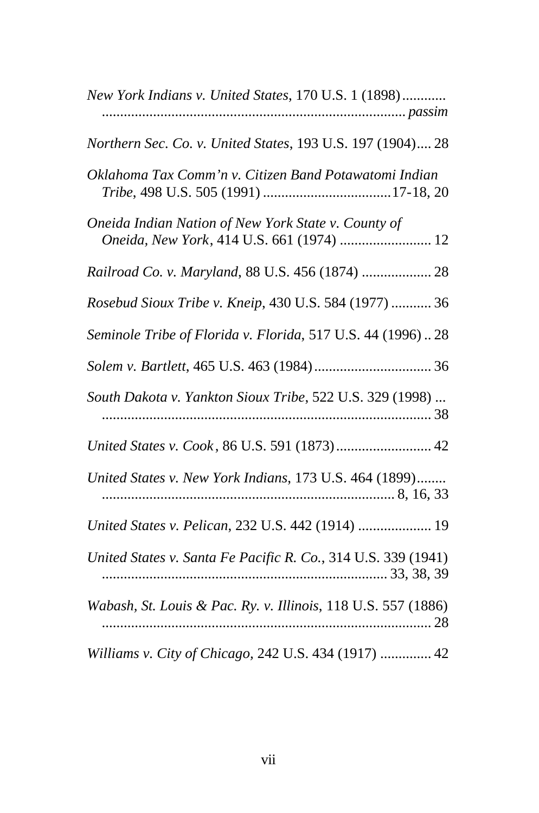| New York Indians v. United States, 170 U.S. 1 (1898)                                             |
|--------------------------------------------------------------------------------------------------|
| Northern Sec. Co. v. United States, 193 U.S. 197 (1904) 28                                       |
| Oklahoma Tax Comm'n v. Citizen Band Potawatomi Indian                                            |
| Oneida Indian Nation of New York State v. County of<br>Oneida, New York, 414 U.S. 661 (1974)  12 |
| Railroad Co. v. Maryland, 88 U.S. 456 (1874)  28                                                 |
| Rosebud Sioux Tribe v. Kneip, 430 U.S. 584 (1977)  36                                            |
| Seminole Tribe of Florida v. Florida, 517 U.S. 44 (1996)28                                       |
|                                                                                                  |
| South Dakota v. Yankton Sioux Tribe, 522 U.S. 329 (1998)                                         |
|                                                                                                  |
| United States v. New York Indians, 173 U.S. 464 (1899)                                           |
| United States v. Pelican, 232 U.S. 442 (1914)  19                                                |
| United States v. Santa Fe Pacific R. Co., 314 U.S. 339 (1941)                                    |
| Wabash, St. Louis & Pac. Ry. v. Illinois, 118 U.S. 557 (1886)                                    |
| Williams v. City of Chicago, 242 U.S. 434 (1917)  42                                             |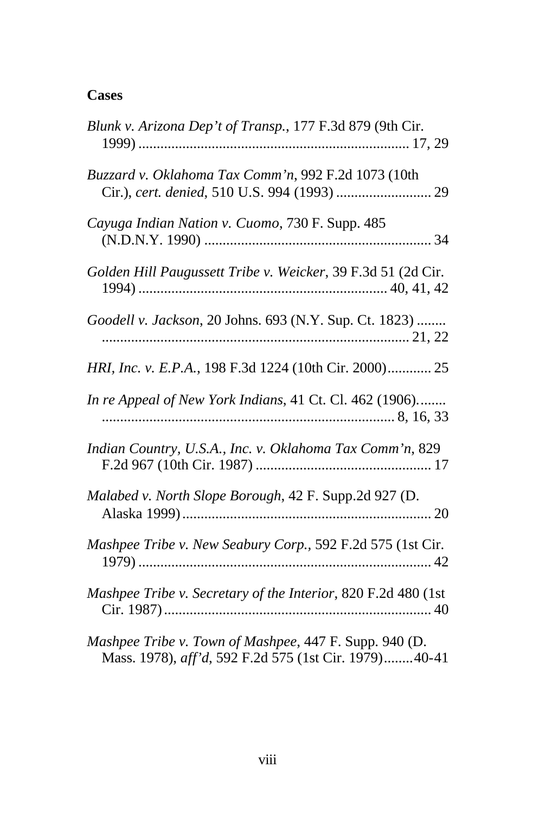## **Cases**

| Blunk v. Arizona Dep't of Transp., 177 F.3d 879 (9th Cir.                                                       |
|-----------------------------------------------------------------------------------------------------------------|
| Buzzard v. Oklahoma Tax Comm'n, 992 F.2d 1073 (10th                                                             |
| Cayuga Indian Nation v. Cuomo, 730 F. Supp. 485                                                                 |
| Golden Hill Paugussett Tribe v. Weicker, 39 F.3d 51 (2d Cir.                                                    |
| Goodell v. Jackson, 20 Johns. 693 (N.Y. Sup. Ct. 1823)                                                          |
| HRI, Inc. v. E.P.A., 198 F.3d 1224 (10th Cir. 2000) 25                                                          |
| In re Appeal of New York Indians, 41 Ct. Cl. 462 (1906)                                                         |
| Indian Country, U.S.A., Inc. v. Oklahoma Tax Comm'n, 829                                                        |
| Malabed v. North Slope Borough, 42 F. Supp.2d 927 (D.                                                           |
| Mashpee Tribe v. New Seabury Corp., 592 F.2d 575 (1st Cir.                                                      |
| Mashpee Tribe v. Secretary of the Interior, 820 F.2d 480 (1st                                                   |
| Mashpee Tribe v. Town of Mashpee, 447 F. Supp. 940 (D.<br>Mass. 1978), aff'd, 592 F.2d 575 (1st Cir. 1979)40-41 |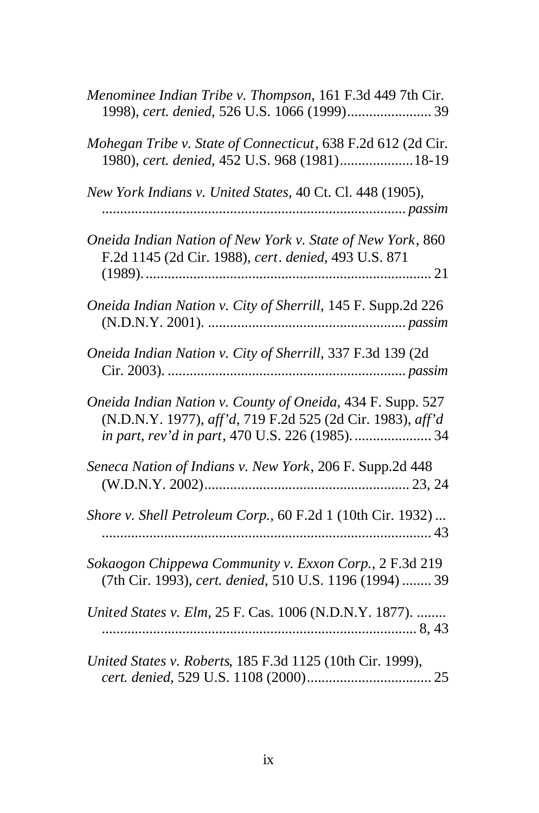| Menominee Indian Tribe v. Thompson, 161 F.3d 449 7th Cir.<br>1998), cert. denied, 526 U.S. 1066 (1999) 39                                                                    |
|------------------------------------------------------------------------------------------------------------------------------------------------------------------------------|
| Mohegan Tribe v. State of Connecticut, 638 F.2d 612 (2d Cir.<br>1980), cert. denied, 452 U.S. 968 (1981) 18-19                                                               |
| New York Indians v. United States, 40 Ct. Cl. 448 (1905),                                                                                                                    |
| Oneida Indian Nation of New York v. State of New York, 860<br>F.2d 1145 (2d Cir. 1988), cert. denied, 493 U.S. 871                                                           |
| Oneida Indian Nation v. City of Sherrill, 145 F. Supp.2d 226                                                                                                                 |
| Oneida Indian Nation v. City of Sherrill, 337 F.3d 139 (2d                                                                                                                   |
| Oneida Indian Nation v. County of Oneida, 434 F. Supp. 527<br>(N.D.N.Y. 1977), aff'd, 719 F.2d 525 (2d Cir. 1983), aff'd<br>in part, rev'd in part, 470 U.S. 226 (1985).  34 |
| Seneca Nation of Indians v. New York, 206 F. Supp.2d 448                                                                                                                     |
| Shore v. Shell Petroleum Corp., 60 F.2d 1 (10th Cir. 1932)                                                                                                                   |
| Sokaogon Chippewa Community v. Exxon Corp., 2 F.3d 219<br>(7th Cir. 1993), cert. denied, 510 U.S. 1196 (1994)  39                                                            |
| United States v. Elm, 25 F. Cas. 1006 (N.D.N.Y. 1877).                                                                                                                       |
| United States v. Roberts, 185 F.3d 1125 (10th Cir. 1999),                                                                                                                    |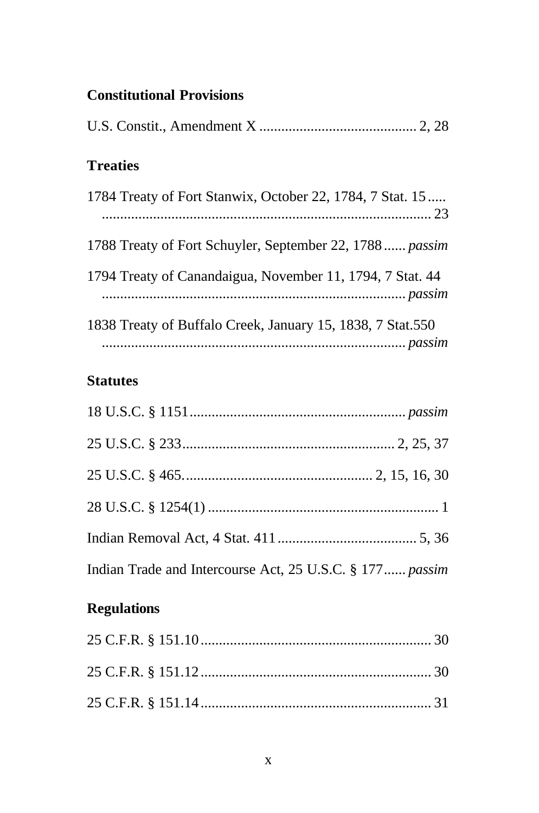# **Constitutional Provisions**

| <b>Treaties</b>                                            |
|------------------------------------------------------------|
| 1784 Treaty of Fort Stanwix, October 22, 1784, 7 Stat. 15  |
| 1788 Treaty of Fort Schuyler, September 22, 1788 passim    |
| 1794 Treaty of Canandaigua, November 11, 1794, 7 Stat. 44  |
| 1838 Treaty of Buffalo Creek, January 15, 1838, 7 Stat.550 |

## **Statutes**

| Indian Trade and Intercourse Act, 25 U.S.C. § 177  passim |  |
|-----------------------------------------------------------|--|

# **Regulations**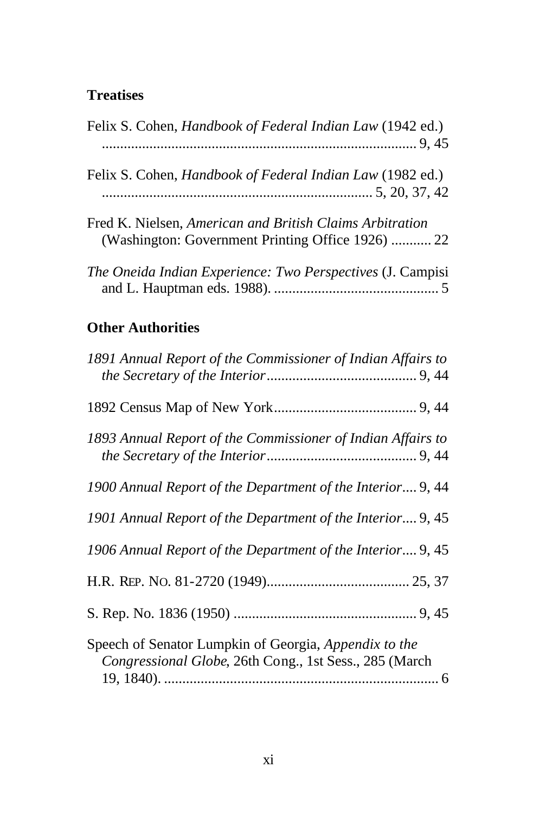## **Treatises**

| Felix S. Cohen, <i>Handbook of Federal Indian Law</i> (1942 ed.)                                              |
|---------------------------------------------------------------------------------------------------------------|
| Felix S. Cohen, <i>Handbook of Federal Indian Law</i> (1982 ed.)                                              |
| Fred K. Nielsen, American and British Claims Arbitration<br>(Washington: Government Printing Office 1926)  22 |
| <i>The Oneida Indian Experience: Two Perspectives (J. Campisi</i>                                             |
|                                                                                                               |

# **Other Authorities**

| 1891 Annual Report of the Commissioner of Indian Affairs to                                                     |
|-----------------------------------------------------------------------------------------------------------------|
|                                                                                                                 |
| 1893 Annual Report of the Commissioner of Indian Affairs to                                                     |
| 1900 Annual Report of the Department of the Interior 9, 44                                                      |
| 1901 Annual Report of the Department of the Interior 9, 45                                                      |
| 1906 Annual Report of the Department of the Interior 9, 45                                                      |
|                                                                                                                 |
|                                                                                                                 |
| Speech of Senator Lumpkin of Georgia, Appendix to the<br>Congressional Globe, 26th Cong., 1st Sess., 285 (March |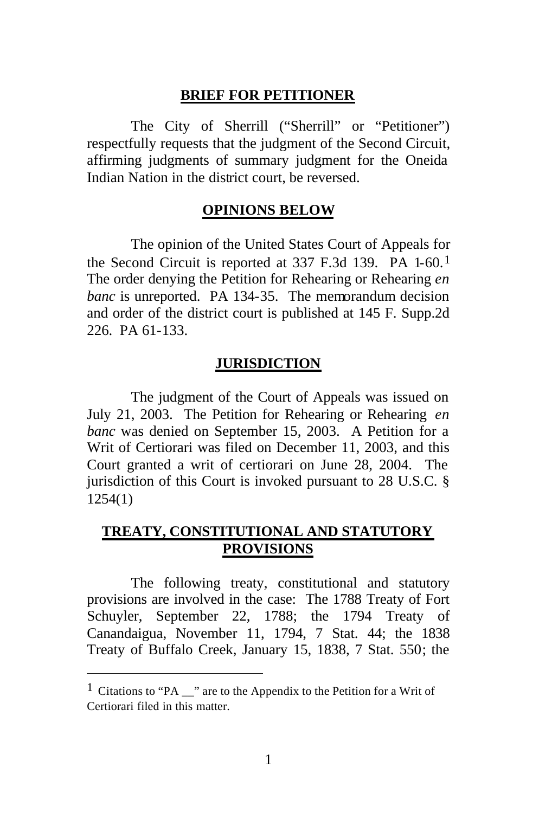#### **BRIEF FOR PETITIONER**

The City of Sherrill ("Sherrill" or "Petitioner") respectfully requests that the judgment of the Second Circuit, affirming judgments of summary judgment for the Oneida Indian Nation in the district court, be reversed.

#### **OPINIONS BELOW**

The opinion of the United States Court of Appeals for the Second Circuit is reported at 337 F.3d 139. PA 1-60.1 The order denying the Petition for Rehearing or Rehearing *en banc* is unreported. PA 134-35. The memorandum decision and order of the district court is published at 145 F. Supp.2d 226. PA 61-133.

#### **JURISDICTION**

The judgment of the Court of Appeals was issued on July 21, 2003. The Petition for Rehearing or Rehearing *en banc* was denied on September 15, 2003. A Petition for a Writ of Certiorari was filed on December 11, 2003, and this Court granted a writ of certiorari on June 28, 2004. The jurisdiction of this Court is invoked pursuant to 28 U.S.C. § 1254(1)

## **TREATY, CONSTITUTIONAL AND STATUTORY PROVISIONS**

The following treaty, constitutional and statutory provisions are involved in the case: The 1788 Treaty of Fort Schuyler, September 22, 1788; the 1794 Treaty of Canandaigua, November 11, 1794, 7 Stat. 44; the 1838 Treaty of Buffalo Creek, January 15, 1838, 7 Stat. 550; the

<sup>1</sup> Citations to "PA \_\_" are to the Appendix to the Petition for a Writ of Certiorari filed in this matter.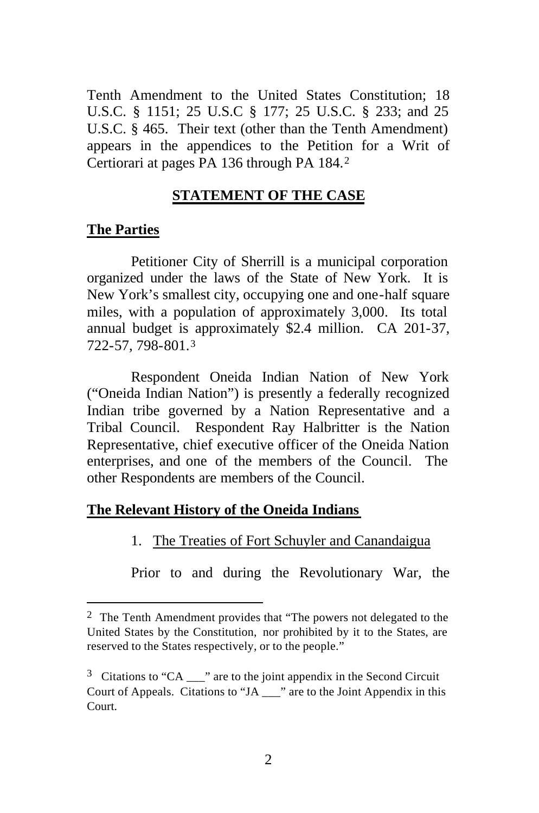Tenth Amendment to the United States Constitution; 18 U.S.C. § 1151; 25 U.S.C § 177; 25 U.S.C. § 233; and 25 U.S.C. § 465. Their text (other than the Tenth Amendment) appears in the appendices to the Petition for a Writ of Certiorari at pages PA 136 through PA 184.<sup>2</sup>

## **STATEMENT OF THE CASE**

#### **The Parties**

 $\overline{a}$ 

Petitioner City of Sherrill is a municipal corporation organized under the laws of the State of New York. It is New York's smallest city, occupying one and one-half square miles, with a population of approximately 3,000. Its total annual budget is approximately \$2.4 million. CA 201-37, 722-57, 798-801.<sup>3</sup>

Respondent Oneida Indian Nation of New York ("Oneida Indian Nation") is presently a federally recognized Indian tribe governed by a Nation Representative and a Tribal Council. Respondent Ray Halbritter is the Nation Representative, chief executive officer of the Oneida Nation enterprises, and one of the members of the Council. The other Respondents are members of the Council.

#### **The Relevant History of the Oneida Indians**

## 1. The Treaties of Fort Schuyler and Canandaigua

Prior to and during the Revolutionary War, the

 $2$  The Tenth Amendment provides that "The powers not delegated to the United States by the Constitution, nor prohibited by it to the States, are reserved to the States respectively, or to the people."

 $3$  Citations to "CA  $\equiv$  " are to the joint appendix in the Second Circuit Court of Appeals. Citations to "JA \_\_\_" are to the Joint Appendix in this Court.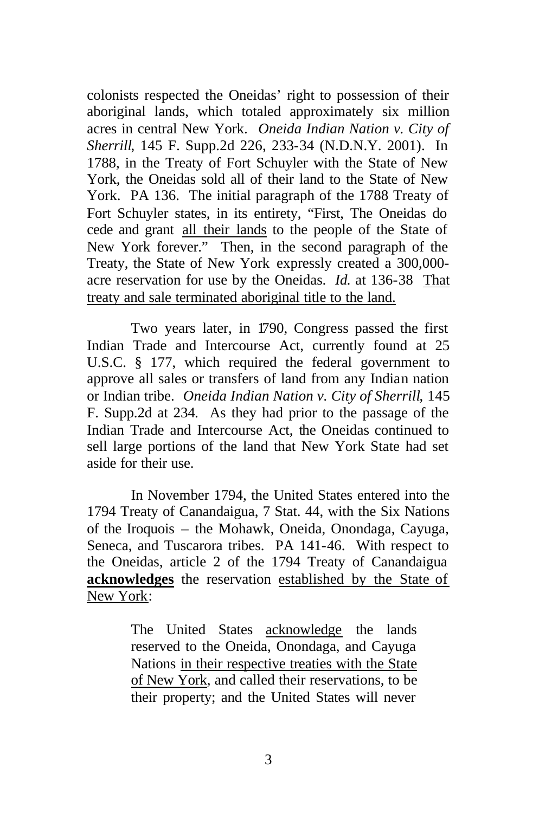colonists respected the Oneidas' right to possession of their aboriginal lands, which totaled approximately six million acres in central New York. *Oneida Indian Nation v. City of Sherrill*, 145 F. Supp.2d 226, 233-34 (N.D.N.Y. 2001). In 1788, in the Treaty of Fort Schuyler with the State of New York, the Oneidas sold all of their land to the State of New York. PA 136. The initial paragraph of the 1788 Treaty of Fort Schuyler states, in its entirety, "First, The Oneidas do cede and grant all their lands to the people of the State of New York forever." Then, in the second paragraph of the Treaty, the State of New York expressly created a 300,000 acre reservation for use by the Oneidas. *Id.* at 136-38 That treaty and sale terminated aboriginal title to the land.

Two years later, in 1790, Congress passed the first Indian Trade and Intercourse Act, currently found at 25 U.S.C. § 177, which required the federal government to approve all sales or transfers of land from any Indian nation or Indian tribe. *Oneida Indian Nation v. City of Sherrill*, 145 F. Supp.2d at 234*.* As they had prior to the passage of the Indian Trade and Intercourse Act, the Oneidas continued to sell large portions of the land that New York State had set aside for their use.

In November 1794, the United States entered into the 1794 Treaty of Canandaigua, 7 Stat. 44, with the Six Nations of the Iroquois – the Mohawk, Oneida, Onondaga, Cayuga, Seneca, and Tuscarora tribes. PA 141-46. With respect to the Oneidas, article 2 of the 1794 Treaty of Canandaigua **acknowledges** the reservation established by the State of New York:

> The United States acknowledge the lands reserved to the Oneida, Onondaga, and Cayuga Nations in their respective treaties with the State of New York, and called their reservations, to be their property; and the United States will never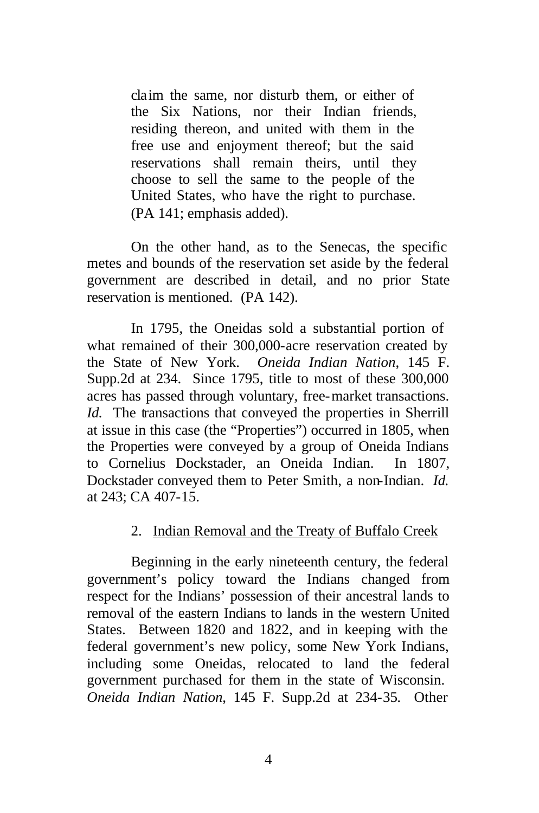claim the same, nor disturb them, or either of the Six Nations, nor their Indian friends, residing thereon, and united with them in the free use and enjoyment thereof; but the said reservations shall remain theirs, until they choose to sell the same to the people of the United States, who have the right to purchase. (PA 141; emphasis added).

On the other hand, as to the Senecas, the specific metes and bounds of the reservation set aside by the federal government are described in detail, and no prior State reservation is mentioned. (PA 142).

In 1795, the Oneidas sold a substantial portion of what remained of their 300,000-acre reservation created by the State of New York. *Oneida Indian Nation*, 145 F. Supp.2d at 234. Since 1795, title to most of these 300,000 acres has passed through voluntary, free-market transactions. *Id.* The transactions that conveyed the properties in Sherrill at issue in this case (the "Properties") occurred in 1805, when the Properties were conveyed by a group of Oneida Indians to Cornelius Dockstader, an Oneida Indian. In 1807, Dockstader conveyed them to Peter Smith, a non-Indian. *Id.* at 243; CA 407-15.

#### 2. Indian Removal and the Treaty of Buffalo Creek

Beginning in the early nineteenth century, the federal government's policy toward the Indians changed from respect for the Indians' possession of their ancestral lands to removal of the eastern Indians to lands in the western United States. Between 1820 and 1822, and in keeping with the federal government's new policy, some New York Indians, including some Oneidas, relocated to land the federal government purchased for them in the state of Wisconsin. *Oneida Indian Nation*, 145 F. Supp.2d at 234-35*.* Other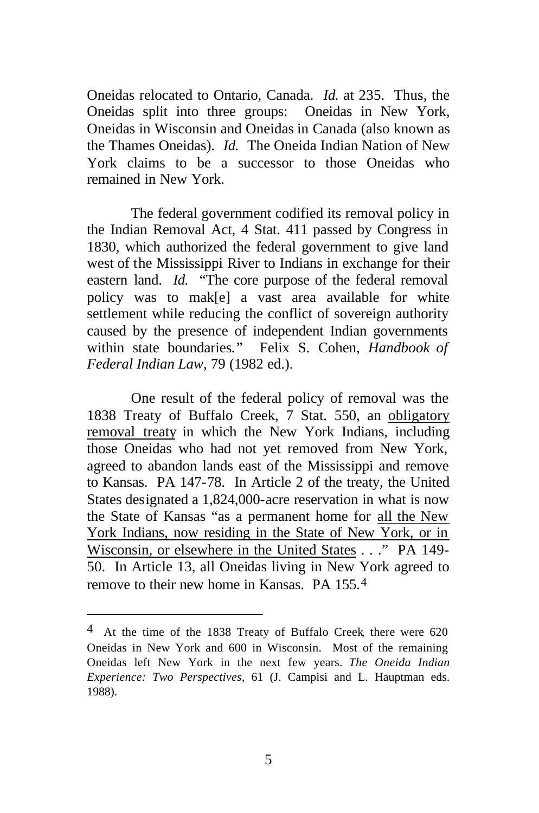Oneidas relocated to Ontario, Canada. *Id.* at 235.Thus, the Oneidas split into three groups: Oneidas in New York, Oneidas in Wisconsin and Oneidas in Canada (also known as the Thames Oneidas). *Id.* The Oneida Indian Nation of New York claims to be a successor to those Oneidas who remained in New York.

The federal government codified its removal policy in the Indian Removal Act, 4 Stat. 411 passed by Congress in 1830, which authorized the federal government to give land west of the Mississippi River to Indians in exchange for their eastern land. *Id.* "The core purpose of the federal removal policy was to mak[e] a vast area available for white settlement while reducing the conflict of sovereign authority caused by the presence of independent Indian governments within state boundaries*.*" Felix S. Cohen, *Handbook of Federal Indian Law*, 79 (1982 ed.).

One result of the federal policy of removal was the 1838 Treaty of Buffalo Creek, 7 Stat. 550, an obligatory removal treaty in which the New York Indians, including those Oneidas who had not yet removed from New York, agreed to abandon lands east of the Mississippi and remove to Kansas. PA 147-78. In Article 2 of the treaty, the United States designated a 1,824,000-acre reservation in what is now the State of Kansas "as a permanent home for all the New York Indians, now residing in the State of New York, or in Wisconsin, or elsewhere in the United States . . ." PA 149- 50. In Article 13, all Oneidas living in New York agreed to remove to their new home in Kansas. PA 155.4

 $4$  At the time of the 1838 Treaty of Buffalo Creek, there were 620 Oneidas in New York and 600 in Wisconsin. Most of the remaining Oneidas left New York in the next few years. *The Oneida Indian Experience: Two Perspectives*, 61 (J. Campisi and L. Hauptman eds. 1988).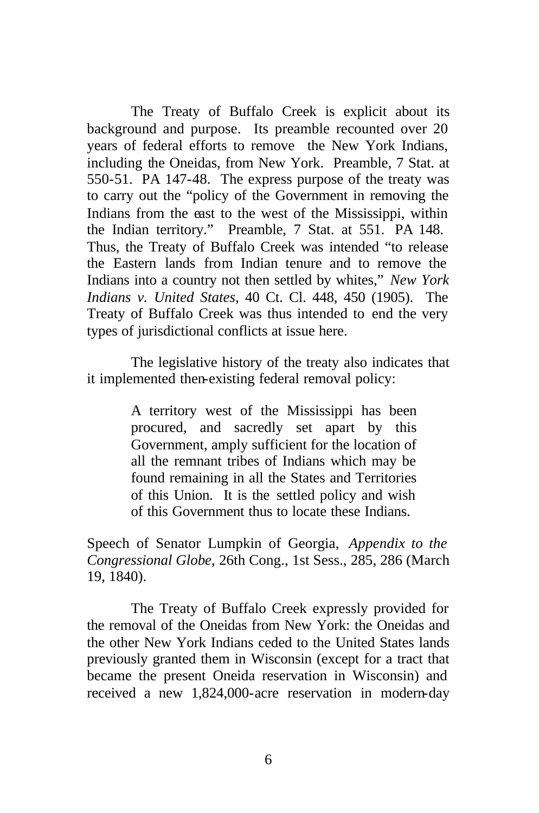The Treaty of Buffalo Creek is explicit about its background and purpose. Its preamble recounted over 20 years of federal efforts to remove the New York Indians, including the Oneidas, from New York. Preamble, 7 Stat. at 550-51. PA 147-48. The express purpose of the treaty was to carry out the "policy of the Government in removing the Indians from the east to the west of the Mississippi, within the Indian territory." Preamble, 7 Stat. at 551. PA 148. Thus, the Treaty of Buffalo Creek was intended "to release the Eastern lands from Indian tenure and to remove the Indians into a country not then settled by whites," *New York Indians v. United States*, 40 Ct. Cl. 448, 450 (1905). The Treaty of Buffalo Creek was thus intended to end the very types of jurisdictional conflicts at issue here.

The legislative history of the treaty also indicates that it implemented then-existing federal removal policy:

> A territory west of the Mississippi has been procured, and sacredly set apart by this Government, amply sufficient for the location of all the remnant tribes of Indians which may be found remaining in all the States and Territories of this Union. It is the settled policy and wish of this Government thus to locate these Indians.

Speech of Senator Lumpkin of Georgia, *Appendix to the Congressional Globe*, 26th Cong., 1st Sess., 285, 286 (March 19, 1840).

The Treaty of Buffalo Creek expressly provided for the removal of the Oneidas from New York: the Oneidas and the other New York Indians ceded to the United States lands previously granted them in Wisconsin (except for a tract that became the present Oneida reservation in Wisconsin) and received a new 1,824,000-acre reservation in modern-day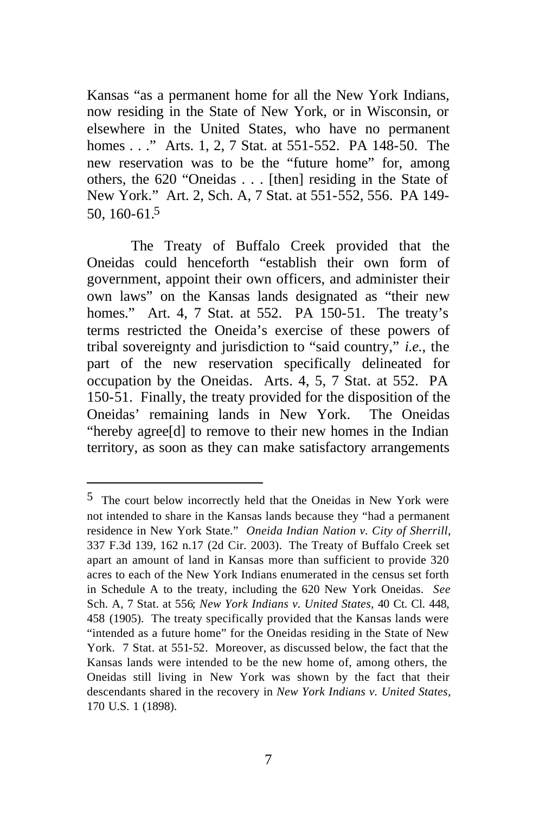Kansas "as a permanent home for all the New York Indians, now residing in the State of New York, or in Wisconsin, or elsewhere in the United States, who have no permanent homes . . ." Arts. 1, 2, 7 Stat. at 551-552. PA 148-50. The new reservation was to be the "future home" for, among others, the 620 "Oneidas . . . [then] residing in the State of New York." Art. 2, Sch. A, 7 Stat. at 551-552, 556. PA 149- 50, 160-61.5

The Treaty of Buffalo Creek provided that the Oneidas could henceforth "establish their own form of government, appoint their own officers, and administer their own laws" on the Kansas lands designated as "their new homes." Art. 4, 7 Stat. at 552. PA 150-51. The treaty's terms restricted the Oneida's exercise of these powers of tribal sovereignty and jurisdiction to "said country," *i.e.*, the part of the new reservation specifically delineated for occupation by the Oneidas. Arts. 4, 5, 7 Stat. at 552. PA 150-51. Finally, the treaty provided for the disposition of the Oneidas' remaining lands in New York. The Oneidas "hereby agree[d] to remove to their new homes in the Indian territory, as soon as they can make satisfactory arrangements

<sup>5</sup> The court below incorrectly held that the Oneidas in New York were not intended to share in the Kansas lands because they "had a permanent residence in New York State." *Oneida Indian Nation v. City of Sherrill*, 337 F.3d 139, 162 n.17 (2d Cir. 2003). The Treaty of Buffalo Creek set apart an amount of land in Kansas more than sufficient to provide 320 acres to each of the New York Indians enumerated in the census set forth in Schedule A to the treaty, including the 620 New York Oneidas. *See* Sch. A, 7 Stat. at 556; *New York Indians v. United States*, 40 Ct. Cl. 448, 458 (1905). The treaty specifically provided that the Kansas lands were "intended as a future home" for the Oneidas residing in the State of New York. 7 Stat. at 551-52. Moreover, as discussed below, the fact that the Kansas lands were intended to be the new home of, among others, the Oneidas still living in New York was shown by the fact that their descendants shared in the recovery in *New York Indians v. United States*, 170 U.S. 1 (1898).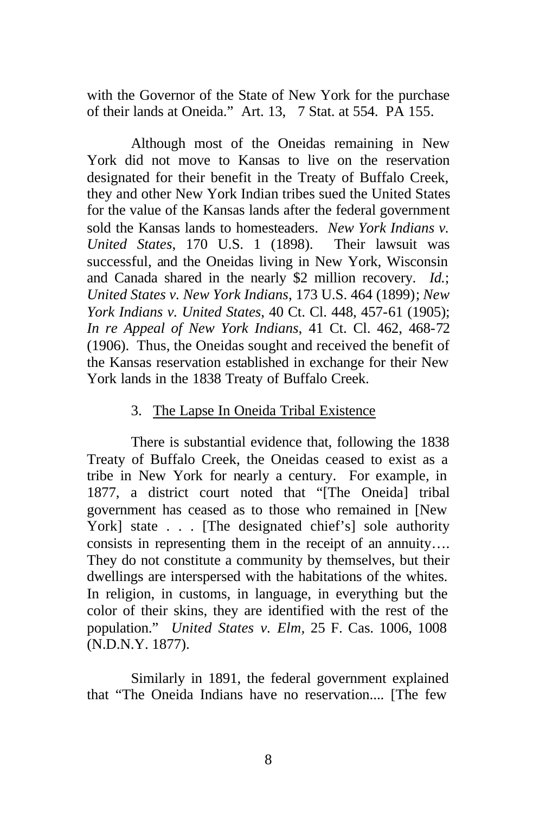with the Governor of the State of New York for the purchase of their lands at Oneida." Art. 13, 7 Stat. at 554. PA 155.

Although most of the Oneidas remaining in New York did not move to Kansas to live on the reservation designated for their benefit in the Treaty of Buffalo Creek, they and other New York Indian tribes sued the United States for the value of the Kansas lands after the federal government sold the Kansas lands to homesteaders. *New York Indians v. United States*, 170 U.S. 1 (1898). Their lawsuit was successful, and the Oneidas living in New York, Wisconsin and Canada shared in the nearly \$2 million recovery. *Id.*; *United States v. New York Indians*, 173 U.S. 464 (1899); *New York Indians v. United States*, 40 Ct. Cl. 448, 457-61 (1905); *In re Appeal of New York Indians*, 41 Ct. Cl. 462, 468-72 (1906). Thus, the Oneidas sought and received the benefit of the Kansas reservation established in exchange for their New York lands in the 1838 Treaty of Buffalo Creek.

#### 3. The Lapse In Oneida Tribal Existence

There is substantial evidence that, following the 1838 Treaty of Buffalo Creek, the Oneidas ceased to exist as a tribe in New York for nearly a century. For example, in 1877, a district court noted that "[The Oneida] tribal government has ceased as to those who remained in [New York] state . . . [The designated chief's] sole authority consists in representing them in the receipt of an annuity…. They do not constitute a community by themselves, but their dwellings are interspersed with the habitations of the whites. In religion, in customs, in language, in everything but the color of their skins, they are identified with the rest of the population." *United States v. Elm,* 25 F. Cas. 1006, 1008 (N.D.N.Y. 1877).

Similarly in 1891, the federal government explained that "The Oneida Indians have no reservation.... [The few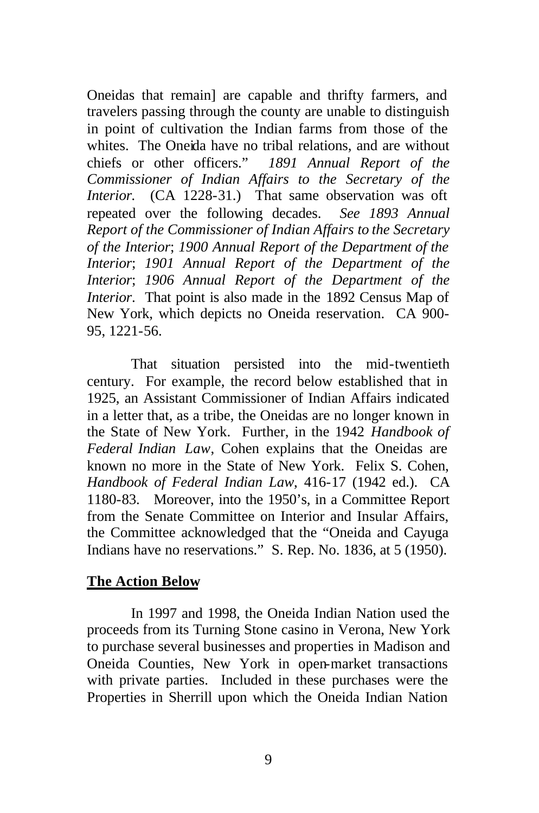Oneidas that remain] are capable and thrifty farmers, and travelers passing through the county are unable to distinguish in point of cultivation the Indian farms from those of the whites. The Oneida have no tribal relations, and are without chiefs or other officers." *1891 Annual Report of the Commissioner of Indian Affairs to the Secretary of the Interior.* (CA 1228-31.) That same observation was oft repeated over the following decades. *See 1893 Annual Report of the Commissioner of Indian Affairs to the Secretary of the Interior*; *1900 Annual Report of the Department of the Interior*; *1901 Annual Report of the Department of the Interior*; *1906 Annual Report of the Department of the Interior*. That point is also made in the 1892 Census Map of New York, which depicts no Oneida reservation. CA 900- 95, 1221-56.

That situation persisted into the mid-twentieth century. For example, the record below established that in 1925, an Assistant Commissioner of Indian Affairs indicated in a letter that, as a tribe, the Oneidas are no longer known in the State of New York. Further, in the 1942 *Handbook of Federal Indian Law*, Cohen explains that the Oneidas are known no more in the State of New York. Felix S. Cohen, *Handbook of Federal Indian Law*, 416-17 (1942 ed.). CA 1180-83. Moreover, into the 1950's, in a Committee Report from the Senate Committee on Interior and Insular Affairs, the Committee acknowledged that the "Oneida and Cayuga Indians have no reservations." S. Rep. No. 1836, at 5 (1950).

#### **The Action Below**

In 1997 and 1998, the Oneida Indian Nation used the proceeds from its Turning Stone casino in Verona, New York to purchase several businesses and properties in Madison and Oneida Counties, New York in open-market transactions with private parties. Included in these purchases were the Properties in Sherrill upon which the Oneida Indian Nation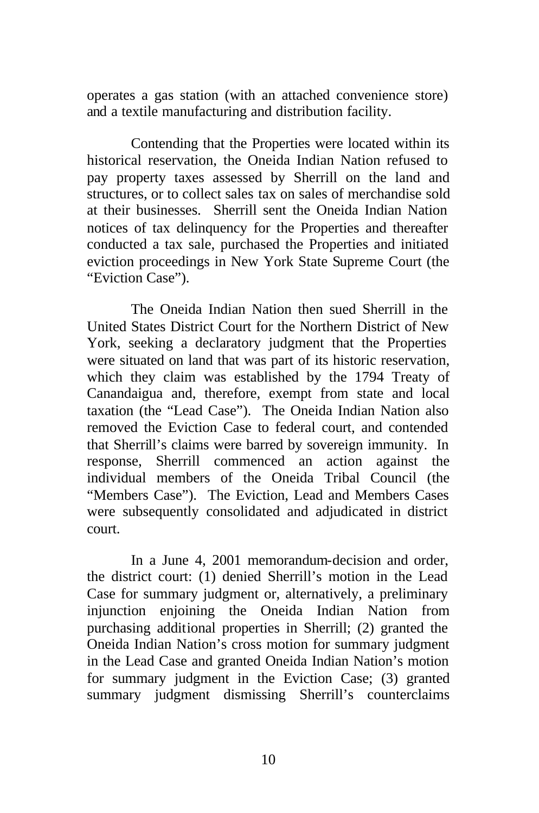operates a gas station (with an attached convenience store) and a textile manufacturing and distribution facility.

Contending that the Properties were located within its historical reservation, the Oneida Indian Nation refused to pay property taxes assessed by Sherrill on the land and structures, or to collect sales tax on sales of merchandise sold at their businesses. Sherrill sent the Oneida Indian Nation notices of tax delinquency for the Properties and thereafter conducted a tax sale, purchased the Properties and initiated eviction proceedings in New York State Supreme Court (the "Eviction Case").

The Oneida Indian Nation then sued Sherrill in the United States District Court for the Northern District of New York, seeking a declaratory judgment that the Properties were situated on land that was part of its historic reservation, which they claim was established by the 1794 Treaty of Canandaigua and, therefore, exempt from state and local taxation (the "Lead Case"). The Oneida Indian Nation also removed the Eviction Case to federal court, and contended that Sherrill's claims were barred by sovereign immunity. In response, Sherrill commenced an action against the individual members of the Oneida Tribal Council (the "Members Case"). The Eviction, Lead and Members Cases were subsequently consolidated and adjudicated in district court.

In a June 4, 2001 memorandum-decision and order, the district court: (1) denied Sherrill's motion in the Lead Case for summary judgment or, alternatively, a preliminary injunction enjoining the Oneida Indian Nation from purchasing additional properties in Sherrill; (2) granted the Oneida Indian Nation's cross motion for summary judgment in the Lead Case and granted Oneida Indian Nation's motion for summary judgment in the Eviction Case; (3) granted summary judgment dismissing Sherrill's counterclaims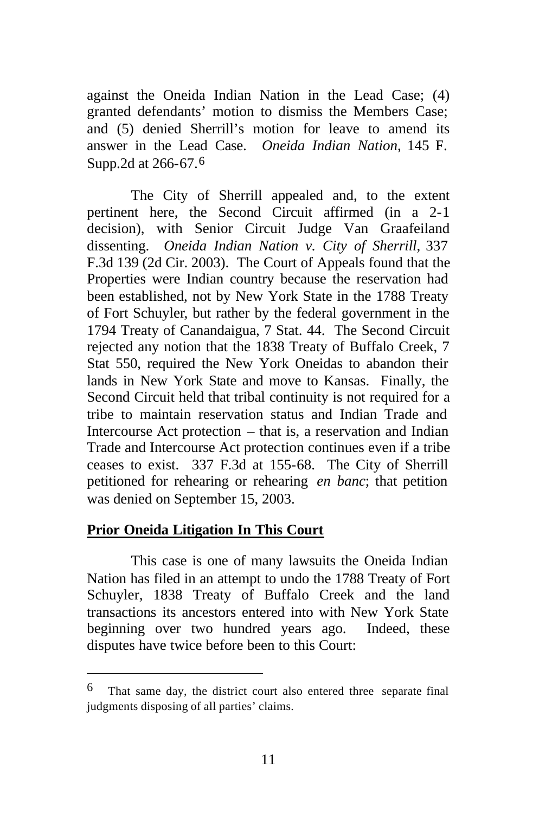against the Oneida Indian Nation in the Lead Case; (4) granted defendants' motion to dismiss the Members Case; and (5) denied Sherrill's motion for leave to amend its answer in the Lead Case. *Oneida Indian Nation*, 145 F. Supp.2d at 266-67.<sup>6</sup>

The City of Sherrill appealed and, to the extent pertinent here, the Second Circuit affirmed (in a 2-1 decision), with Senior Circuit Judge Van Graafeiland dissenting. *Oneida Indian Nation v. City of Sherrill*, 337 F.3d 139 (2d Cir. 2003). The Court of Appeals found that the Properties were Indian country because the reservation had been established, not by New York State in the 1788 Treaty of Fort Schuyler, but rather by the federal government in the 1794 Treaty of Canandaigua, 7 Stat. 44. The Second Circuit rejected any notion that the 1838 Treaty of Buffalo Creek, 7 Stat 550, required the New York Oneidas to abandon their lands in New York State and move to Kansas. Finally, the Second Circuit held that tribal continuity is not required for a tribe to maintain reservation status and Indian Trade and Intercourse Act protection – that is, a reservation and Indian Trade and Intercourse Act protection continues even if a tribe ceases to exist. 337 F.3d at 155-68. The City of Sherrill petitioned for rehearing or rehearing *en banc*; that petition was denied on September 15, 2003.

#### **Prior Oneida Litigation In This Court**

 $\overline{a}$ 

This case is one of many lawsuits the Oneida Indian Nation has filed in an attempt to undo the 1788 Treaty of Fort Schuyler, 1838 Treaty of Buffalo Creek and the land transactions its ancestors entered into with New York State beginning over two hundred years ago. Indeed, these disputes have twice before been to this Court:

<sup>6</sup> That same day, the district court also entered three separate final judgments disposing of all parties' claims.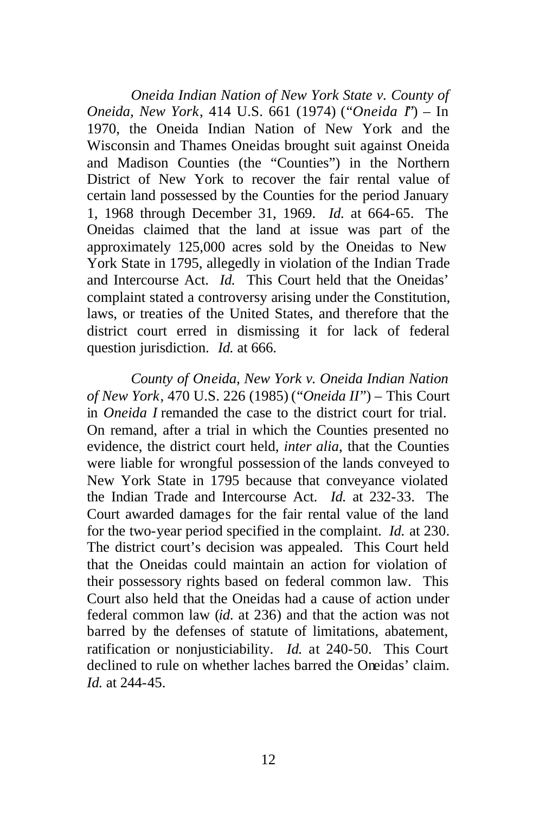*Oneida Indian Nation of New York State v. County of Oneida, New York*, 414 U.S. 661 (1974) ("*Oneida I*") – In 1970, the Oneida Indian Nation of New York and the Wisconsin and Thames Oneidas brought suit against Oneida and Madison Counties (the "Counties") in the Northern District of New York to recover the fair rental value of certain land possessed by the Counties for the period January 1, 1968 through December 31, 1969. *Id.* at 664-65. The Oneidas claimed that the land at issue was part of the approximately 125,000 acres sold by the Oneidas to New York State in 1795, allegedly in violation of the Indian Trade and Intercourse Act. *Id.* This Court held that the Oneidas' complaint stated a controversy arising under the Constitution, laws, or treaties of the United States, and therefore that the district court erred in dismissing it for lack of federal question jurisdiction. *Id.* at 666.

*County of Oneida, New York v. Oneida Indian Nation of New York*, 470 U.S. 226 (1985) ("*Oneida II*") – This Court in *Oneida I* remanded the case to the district court for trial. On remand, after a trial in which the Counties presented no evidence, the district court held, *inter alia*, that the Counties were liable for wrongful possession of the lands conveyed to New York State in 1795 because that conveyance violated the Indian Trade and Intercourse Act. *Id.* at 232-33. The Court awarded damages for the fair rental value of the land for the two-year period specified in the complaint. *Id.* at 230. The district court's decision was appealed. This Court held that the Oneidas could maintain an action for violation of their possessory rights based on federal common law. This Court also held that the Oneidas had a cause of action under federal common law (*id*. at 236) and that the action was not barred by the defenses of statute of limitations, abatement, ratification or nonjusticiability. *Id.* at 240-50. This Court declined to rule on whether laches barred the Oneidas' claim. *Id.* at 244-45.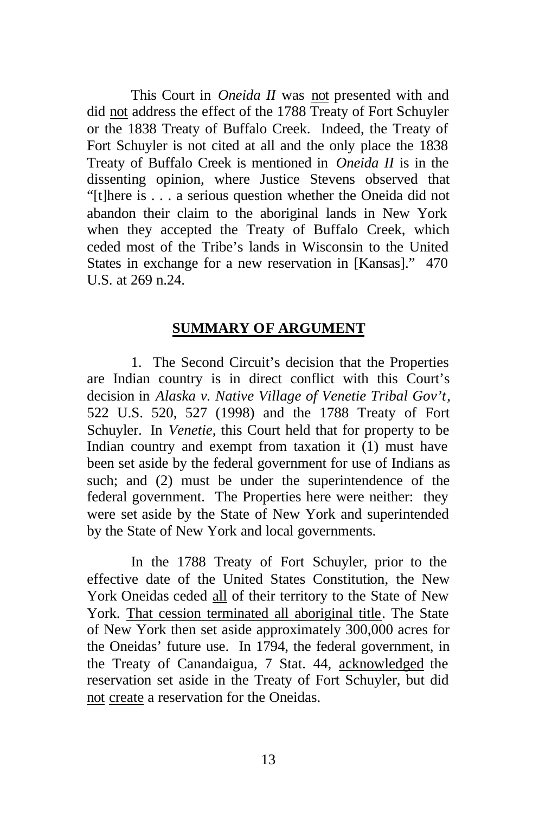This Court in *Oneida II* was not presented with and did not address the effect of the 1788 Treaty of Fort Schuyler or the 1838 Treaty of Buffalo Creek. Indeed, the Treaty of Fort Schuyler is not cited at all and the only place the 1838 Treaty of Buffalo Creek is mentioned in *Oneida II* is in the dissenting opinion, where Justice Stevens observed that "[t]here is . . . a serious question whether the Oneida did not abandon their claim to the aboriginal lands in New York when they accepted the Treaty of Buffalo Creek, which ceded most of the Tribe's lands in Wisconsin to the United States in exchange for a new reservation in [Kansas]." 470 U.S. at 269 n.24.

#### **SUMMARY OF ARGUMENT**

1. The Second Circuit's decision that the Properties are Indian country is in direct conflict with this Court's decision in *Alaska v. Native Village of Venetie Tribal Gov't*, 522 U.S. 520, 527 (1998) and the 1788 Treaty of Fort Schuyler. In *Venetie*, this Court held that for property to be Indian country and exempt from taxation it (1) must have been set aside by the federal government for use of Indians as such; and (2) must be under the superintendence of the federal government. The Properties here were neither: they were set aside by the State of New York and superintended by the State of New York and local governments.

In the 1788 Treaty of Fort Schuyler, prior to the effective date of the United States Constitution, the New York Oneidas ceded all of their territory to the State of New York. That cession terminated all aboriginal title. The State of New York then set aside approximately 300,000 acres for the Oneidas' future use. In 1794, the federal government, in the Treaty of Canandaigua, 7 Stat. 44, acknowledged the reservation set aside in the Treaty of Fort Schuyler, but did not create a reservation for the Oneidas.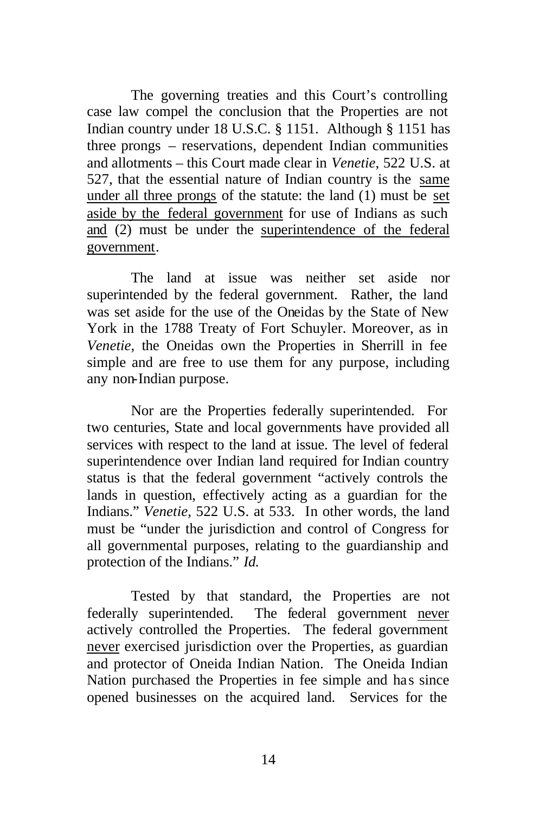The governing treaties and this Court's controlling case law compel the conclusion that the Properties are not Indian country under 18 U.S.C. § 1151. Although § 1151 has three prongs – reservations, dependent Indian communities and allotments – this Court made clear in *Venetie*, 522 U.S. at 527, that the essential nature of Indian country is the same under all three prongs of the statute: the land (1) must be set aside by the federal government for use of Indians as such and (2) must be under the superintendence of the federal government.

The land at issue was neither set aside nor superintended by the federal government. Rather, the land was set aside for the use of the Oneidas by the State of New York in the 1788 Treaty of Fort Schuyler. Moreover, as in *Venetie*, the Oneidas own the Properties in Sherrill in fee simple and are free to use them for any purpose, including any non-Indian purpose.

Nor are the Properties federally superintended. For two centuries, State and local governments have provided all services with respect to the land at issue. The level of federal superintendence over Indian land required for Indian country status is that the federal government "actively controls the lands in question, effectively acting as a guardian for the Indians." *Venetie*, 522 U.S. at 533. In other words, the land must be "under the jurisdiction and control of Congress for all governmental purposes, relating to the guardianship and protection of the Indians." *Id.*

Tested by that standard, the Properties are not federally superintended. The federal government never actively controlled the Properties. The federal government never exercised jurisdiction over the Properties, as guardian and protector of Oneida Indian Nation. The Oneida Indian Nation purchased the Properties in fee simple and has since opened businesses on the acquired land. Services for the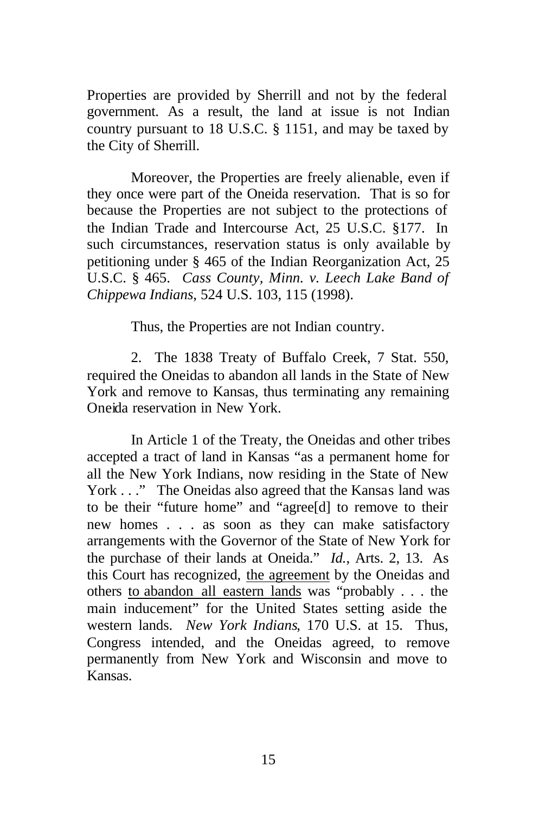Properties are provided by Sherrill and not by the federal government. As a result, the land at issue is not Indian country pursuant to 18 U.S.C. § 1151, and may be taxed by the City of Sherrill.

Moreover, the Properties are freely alienable, even if they once were part of the Oneida reservation. That is so for because the Properties are not subject to the protections of the Indian Trade and Intercourse Act, 25 U.S.C. §177. In such circumstances, reservation status is only available by petitioning under § 465 of the Indian Reorganization Act, 25 U.S.C. § 465. *Cass County, Minn. v. Leech Lake Band of Chippewa Indians*, 524 U.S. 103, 115 (1998).

Thus, the Properties are not Indian country.

2. The 1838 Treaty of Buffalo Creek, 7 Stat. 550, required the Oneidas to abandon all lands in the State of New York and remove to Kansas, thus terminating any remaining Oneida reservation in New York.

In Article 1 of the Treaty, the Oneidas and other tribes accepted a tract of land in Kansas "as a permanent home for all the New York Indians, now residing in the State of New York . . ." The Oneidas also agreed that the Kansas land was to be their "future home" and "agree[d] to remove to their new homes . . . as soon as they can make satisfactory arrangements with the Governor of the State of New York for the purchase of their lands at Oneida." *Id.*, Arts. 2, 13. As this Court has recognized, the agreement by the Oneidas and others to abandon all eastern lands was "probably . . . the main inducement" for the United States setting aside the western lands. *New York Indians*, 170 U.S. at 15. Thus, Congress intended, and the Oneidas agreed, to remove permanently from New York and Wisconsin and move to Kansas.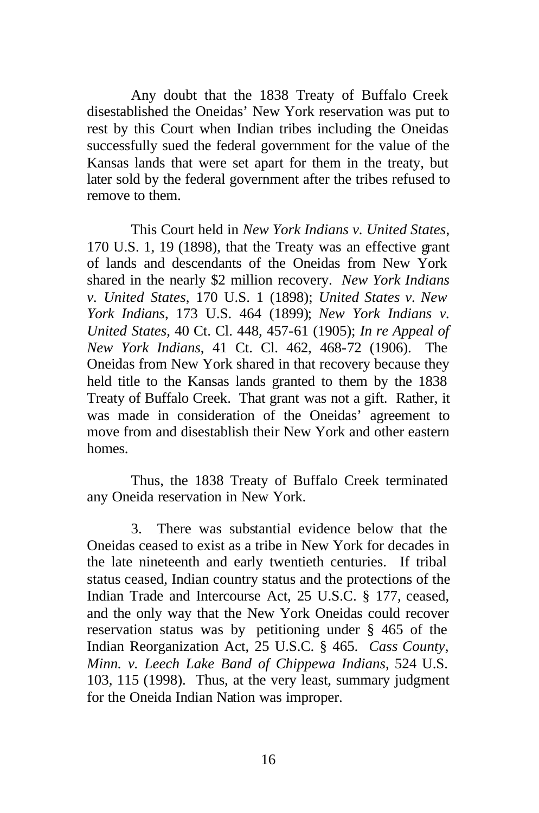Any doubt that the 1838 Treaty of Buffalo Creek disestablished the Oneidas' New York reservation was put to rest by this Court when Indian tribes including the Oneidas successfully sued the federal government for the value of the Kansas lands that were set apart for them in the treaty, but later sold by the federal government after the tribes refused to remove to them.

This Court held in *New York Indians v. United States*, 170 U.S. 1, 19 (1898), that the Treaty was an effective grant of lands and descendants of the Oneidas from New York shared in the nearly \$2 million recovery. *New York Indians v. United States*, 170 U.S. 1 (1898); *United States v. New York Indians*, 173 U.S. 464 (1899); *New York Indians v. United States*, 40 Ct. Cl. 448, 457-61 (1905); *In re Appeal of New York Indians*, 41 Ct. Cl. 462, 468-72 (1906). The Oneidas from New York shared in that recovery because they held title to the Kansas lands granted to them by the 1838 Treaty of Buffalo Creek. That grant was not a gift. Rather, it was made in consideration of the Oneidas' agreement to move from and disestablish their New York and other eastern homes.

Thus, the 1838 Treaty of Buffalo Creek terminated any Oneida reservation in New York.

3. There was substantial evidence below that the Oneidas ceased to exist as a tribe in New York for decades in the late nineteenth and early twentieth centuries. If tribal status ceased, Indian country status and the protections of the Indian Trade and Intercourse Act, 25 U.S.C. § 177, ceased, and the only way that the New York Oneidas could recover reservation status was by petitioning under § 465 of the Indian Reorganization Act, 25 U.S.C. § 465. *Cass County, Minn. v. Leech Lake Band of Chippewa Indians*, 524 U.S. 103, 115 (1998). Thus, at the very least, summary judgment for the Oneida Indian Nation was improper.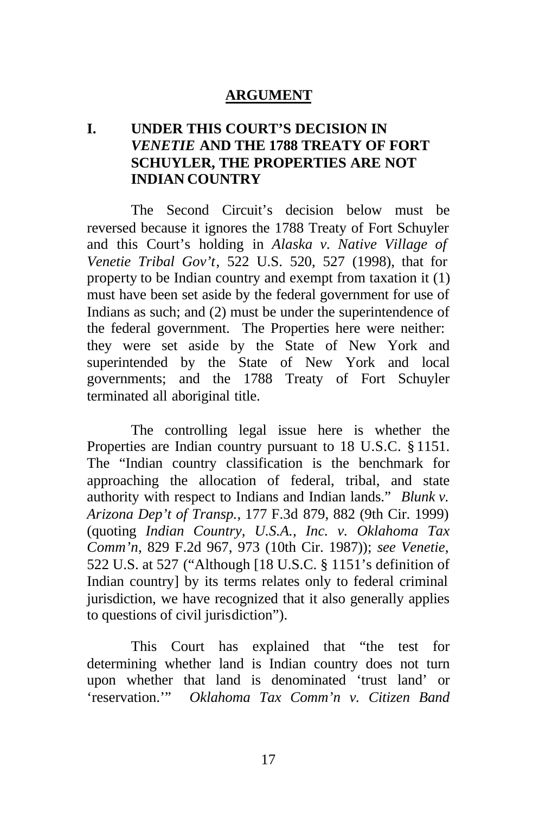## **ARGUMENT**

## **I. UNDER THIS COURT'S DECISION IN**  *VENETIE* **AND THE 1788 TREATY OF FORT SCHUYLER, THE PROPERTIES ARE NOT INDIAN COUNTRY**

The Second Circuit's decision below must be reversed because it ignores the 1788 Treaty of Fort Schuyler and this Court's holding in *Alaska v. Native Village of Venetie Tribal Gov't*, 522 U.S. 520, 527 (1998), that for property to be Indian country and exempt from taxation it (1) must have been set aside by the federal government for use of Indians as such; and (2) must be under the superintendence of the federal government. The Properties here were neither: they were set aside by the State of New York and superintended by the State of New York and local governments; and the 1788 Treaty of Fort Schuyler terminated all aboriginal title.

The controlling legal issue here is whether the Properties are Indian country pursuant to 18 U.S.C. § 1151. The "Indian country classification is the benchmark for approaching the allocation of federal, tribal, and state authority with respect to Indians and Indian lands." *Blunk v. Arizona Dep't of Transp.*, 177 F.3d 879, 882 (9th Cir. 1999) (quoting *Indian Country, U.S.A., Inc. v. Oklahoma Tax Comm'n*, 829 F.2d 967, 973 (10th Cir. 1987)); *see Venetie*, 522 U.S. at 527 ("Although [18 U.S.C. § 1151's definition of Indian country] by its terms relates only to federal criminal jurisdiction, we have recognized that it also generally applies to questions of civil jurisdiction").

This Court has explained that "the test for determining whether land is Indian country does not turn upon whether that land is denominated 'trust land' or 'reservation.'" *Oklahoma Tax Comm'n v. Citizen Band*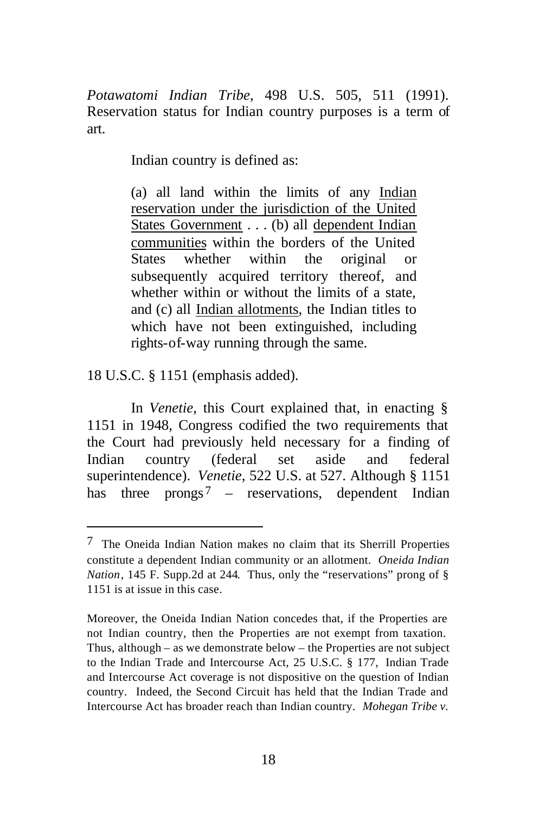*Potawatomi Indian Tribe*, 498 U.S. 505, 511 (1991). Reservation status for Indian country purposes is a term of art.

Indian country is defined as:

(a) all land within the limits of any Indian reservation under the jurisdiction of the United States Government . . . (b) all dependent Indian communities within the borders of the United States whether within the original or subsequently acquired territory thereof, and whether within or without the limits of a state. and (c) all Indian allotments, the Indian titles to which have not been extinguished, including rights-of-way running through the same.

18 U.S.C. § 1151 (emphasis added).

 $\overline{a}$ 

In *Venetie*, this Court explained that, in enacting § 1151 in 1948, Congress codified the two requirements that the Court had previously held necessary for a finding of Indian country (federal set aside and federal superintendence). *Venetie*, 522 U.S. at 527. Although § 1151 has three prongs<sup>7</sup> – reservations, dependent Indian

<sup>7</sup> The Oneida Indian Nation makes no claim that its Sherrill Properties constitute a dependent Indian community or an allotment. *Oneida Indian Nation*, 145 F. Supp.2d at 244. Thus, only the "reservations" prong of § 1151 is at issue in this case.

Moreover, the Oneida Indian Nation concedes that, if the Properties are not Indian country, then the Properties are not exempt from taxation. Thus, although – as we demonstrate below – the Properties are not subject to the Indian Trade and Intercourse Act, 25 U.S.C. § 177, Indian Trade and Intercourse Act coverage is not dispositive on the question of Indian country. Indeed, the Second Circuit has held that the Indian Trade and Intercourse Act has broader reach than Indian country. *Mohegan Tribe v.*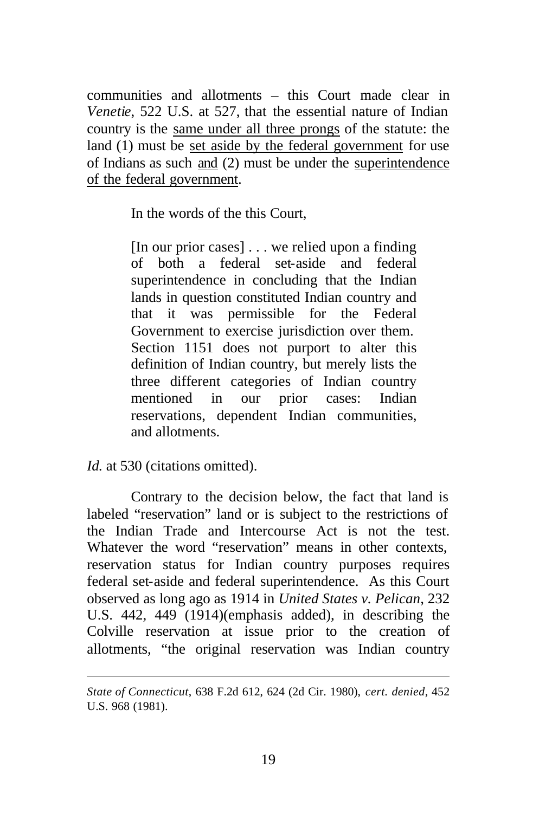communities and allotments – this Court made clear in *Venetie*, 522 U.S. at 527, that the essential nature of Indian country is the same under all three prongs of the statute: the land (1) must be set aside by the federal government for use of Indians as such and (2) must be under the superintendence of the federal government.

In the words of the this Court,

[In our prior cases] . . . we relied upon a finding of both a federal set-aside and federal superintendence in concluding that the Indian lands in question constituted Indian country and that it was permissible for the Federal Government to exercise jurisdiction over them. Section 1151 does not purport to alter this definition of Indian country, but merely lists the three different categories of Indian country mentioned in our prior cases: Indian reservations, dependent Indian communities, and allotments.

*Id.* at 530 (citations omitted).

 $\overline{a}$ 

Contrary to the decision below, the fact that land is labeled "reservation" land or is subject to the restrictions of the Indian Trade and Intercourse Act is not the test. Whatever the word "reservation" means in other contexts, reservation status for Indian country purposes requires federal set-aside and federal superintendence. As this Court observed as long ago as 1914 in *United States v. Pelican*, 232 U.S. 442, 449 (1914)(emphasis added), in describing the Colville reservation at issue prior to the creation of allotments, "the original reservation was Indian country

*State of Connecticut*, 638 F.2d 612, 624 (2d Cir. 1980), *cert. denied*, 452 U.S. 968 (1981).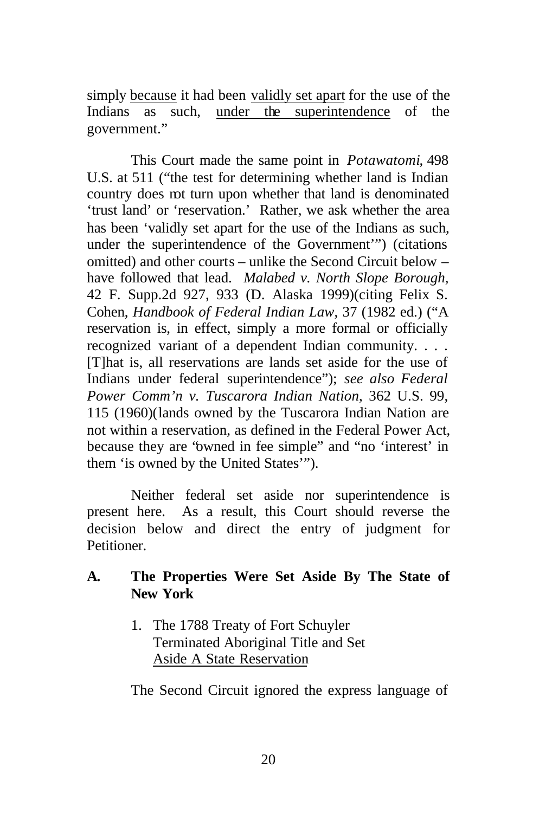simply because it had been validly set apart for the use of the Indians as such, under the superintendence of the government."

This Court made the same point in *Potawatomi*, 498 U.S. at 511 ("the test for determining whether land is Indian country does not turn upon whether that land is denominated 'trust land' or 'reservation.' Rather, we ask whether the area has been 'validly set apart for the use of the Indians as such, under the superintendence of the Government'") (citations omitted) and other courts – unlike the Second Circuit below – have followed that lead. *Malabed v. North Slope Borough*, 42 F. Supp.2d 927, 933 (D. Alaska 1999)(citing Felix S. Cohen, *Handbook of Federal Indian Law*, 37 (1982 ed.) ("A reservation is, in effect, simply a more formal or officially recognized variant of a dependent Indian community. . . . [T]hat is, all reservations are lands set aside for the use of Indians under federal superintendence"); *see also Federal Power Comm'n v. Tuscarora Indian Nation*, 362 U.S. 99, 115 (1960)(lands owned by the Tuscarora Indian Nation are not within a reservation, as defined in the Federal Power Act, because they are "owned in fee simple" and "no 'interest' in them 'is owned by the United States'").

Neither federal set aside nor superintendence is present here. As a result, this Court should reverse the decision below and direct the entry of judgment for Petitioner.

- **A. The Properties Were Set Aside By The State of New York**
	- 1. The 1788 Treaty of Fort Schuyler Terminated Aboriginal Title and Set Aside A State Reservation

The Second Circuit ignored the express language of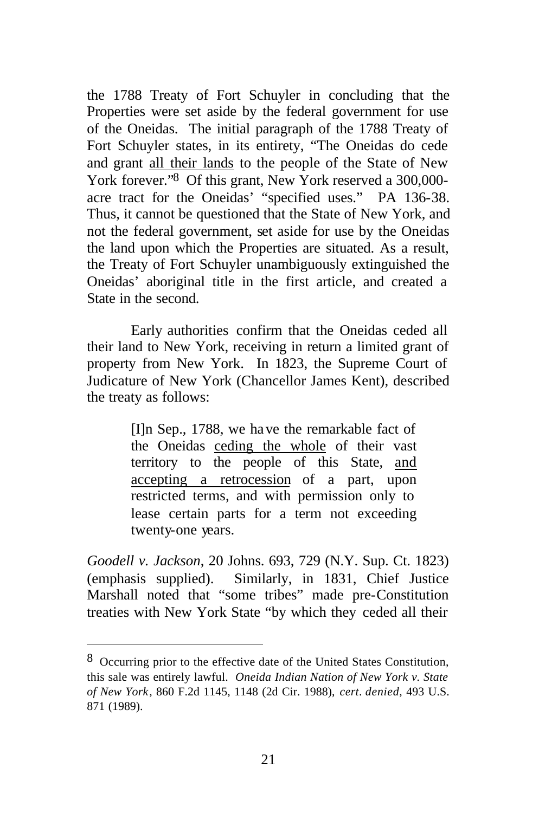the 1788 Treaty of Fort Schuyler in concluding that the Properties were set aside by the federal government for use of the Oneidas. The initial paragraph of the 1788 Treaty of Fort Schuyler states, in its entirety, "The Oneidas do cede and grant all their lands to the people of the State of New York forever."8 Of this grant, New York reserved a 300,000 acre tract for the Oneidas' "specified uses." PA 136-38. Thus, it cannot be questioned that the State of New York, and not the federal government, set aside for use by the Oneidas the land upon which the Properties are situated. As a result, the Treaty of Fort Schuyler unambiguously extinguished the Oneidas' aboriginal title in the first article, and created a State in the second.

Early authorities confirm that the Oneidas ceded all their land to New York, receiving in return a limited grant of property from New York. In 1823, the Supreme Court of Judicature of New York (Chancellor James Kent), described the treaty as follows:

> [I]n Sep., 1788, we have the remarkable fact of the Oneidas ceding the whole of their vast territory to the people of this State, and accepting a retrocession of a part, upon restricted terms, and with permission only to lease certain parts for a term not exceeding twenty-one years.

*Goodell v. Jackson*, 20 Johns. 693, 729 (N.Y. Sup. Ct. 1823) (emphasis supplied). Similarly, in 1831, Chief Justice Marshall noted that "some tribes" made pre-Constitution treaties with New York State "by which they ceded all their

<sup>8</sup> Occurring prior to the effective date of the United States Constitution, this sale was entirely lawful. *Oneida Indian Nation of New York v. State of New York*, 860 F.2d 1145, 1148 (2d Cir. 1988), *cert*. *denied*, 493 U.S. 871 (1989).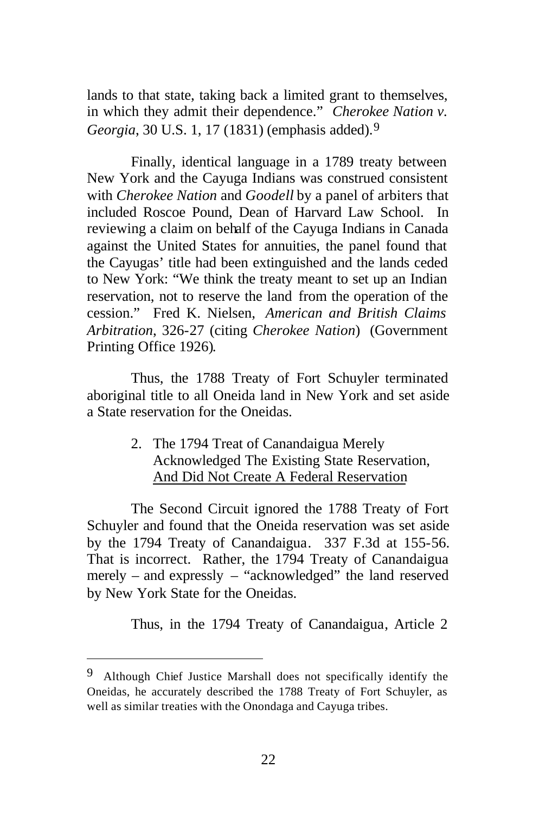lands to that state, taking back a limited grant to themselves, in which they admit their dependence." *Cherokee Nation v. Georgia*, 30 U.S. 1, 17 (1831) (emphasis added).9

Finally, identical language in a 1789 treaty between New York and the Cayuga Indians was construed consistent with *Cherokee Nation* and *Goodell* by a panel of arbiters that included Roscoe Pound, Dean of Harvard Law School. In reviewing a claim on behalf of the Cayuga Indians in Canada against the United States for annuities, the panel found that the Cayugas' title had been extinguished and the lands ceded to New York: "We think the treaty meant to set up an Indian reservation, not to reserve the land from the operation of the cession." Fred K. Nielsen, *American and British Claims Arbitration*, 326-27 (citing *Cherokee Nation*) (Government Printing Office 1926).

Thus, the 1788 Treaty of Fort Schuyler terminated aboriginal title to all Oneida land in New York and set aside a State reservation for the Oneidas.

> 2. The 1794 Treat of Canandaigua Merely Acknowledged The Existing State Reservation, And Did Not Create A Federal Reservation

The Second Circuit ignored the 1788 Treaty of Fort Schuyler and found that the Oneida reservation was set aside by the 1794 Treaty of Canandaigua. 337 F.3d at 155-56. That is incorrect. Rather, the 1794 Treaty of Canandaigua merely – and expressly – "acknowledged" the land reserved by New York State for the Oneidas.

Thus, in the 1794 Treaty of Canandaigua, Article 2

<sup>&</sup>lt;sup>9</sup> Although Chief Justice Marshall does not specifically identify the Oneidas, he accurately described the 1788 Treaty of Fort Schuyler, as well as similar treaties with the Onondaga and Cayuga tribes.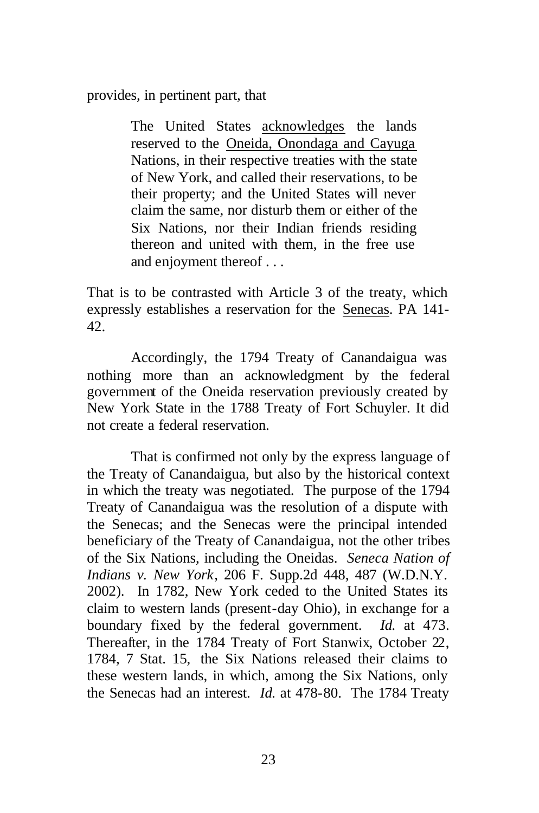provides, in pertinent part, that

The United States acknowledges the lands reserved to the Oneida, Onondaga and Cayuga Nations, in their respective treaties with the state of New York, and called their reservations, to be their property; and the United States will never claim the same, nor disturb them or either of the Six Nations, nor their Indian friends residing thereon and united with them, in the free use and enjoyment thereof . . .

That is to be contrasted with Article 3 of the treaty, which expressly establishes a reservation for the Senecas. PA 141- 42.

Accordingly, the 1794 Treaty of Canandaigua was nothing more than an acknowledgment by the federal government of the Oneida reservation previously created by New York State in the 1788 Treaty of Fort Schuyler. It did not create a federal reservation.

That is confirmed not only by the express language of the Treaty of Canandaigua, but also by the historical context in which the treaty was negotiated. The purpose of the 1794 Treaty of Canandaigua was the resolution of a dispute with the Senecas; and the Senecas were the principal intended beneficiary of the Treaty of Canandaigua, not the other tribes of the Six Nations, including the Oneidas. *Seneca Nation of Indians v. New York*, 206 F. Supp.2d 448, 487 (W.D.N.Y. 2002). In 1782, New York ceded to the United States its claim to western lands (present-day Ohio), in exchange for a boundary fixed by the federal government. *Id.* at 473. Thereafter, in the 1784 Treaty of Fort Stanwix, October 22, 1784, 7 Stat. 15, the Six Nations released their claims to these western lands, in which, among the Six Nations, only the Senecas had an interest. *Id.* at 478-80. The 1784 Treaty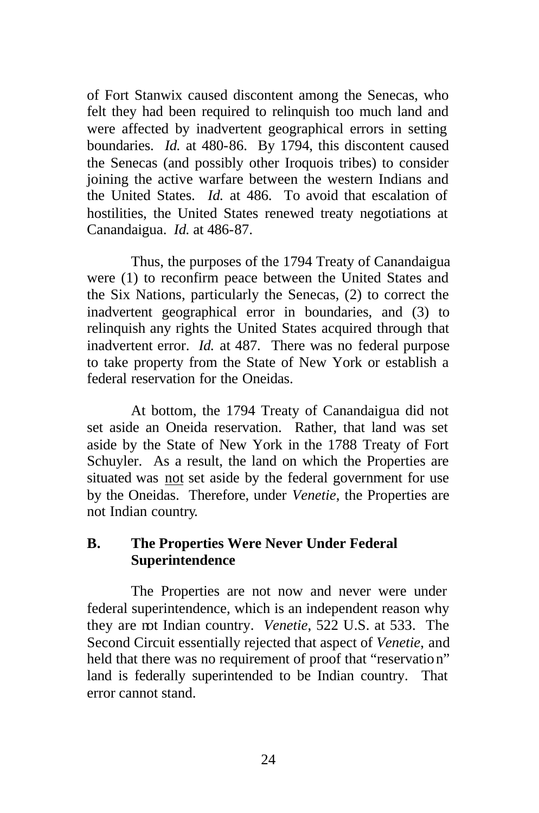of Fort Stanwix caused discontent among the Senecas, who felt they had been required to relinquish too much land and were affected by inadvertent geographical errors in setting boundaries. *Id.* at 480-86. By 1794, this discontent caused the Senecas (and possibly other Iroquois tribes) to consider joining the active warfare between the western Indians and the United States. *Id.* at 486. To avoid that escalation of hostilities, the United States renewed treaty negotiations at Canandaigua. *Id.* at 486-87.

Thus, the purposes of the 1794 Treaty of Canandaigua were (1) to reconfirm peace between the United States and the Six Nations, particularly the Senecas, (2) to correct the inadvertent geographical error in boundaries, and (3) to relinquish any rights the United States acquired through that inadvertent error. *Id.* at 487*.* There was no federal purpose to take property from the State of New York or establish a federal reservation for the Oneidas.

At bottom, the 1794 Treaty of Canandaigua did not set aside an Oneida reservation. Rather, that land was set aside by the State of New York in the 1788 Treaty of Fort Schuyler. As a result, the land on which the Properties are situated was not set aside by the federal government for use by the Oneidas. Therefore, under *Venetie*, the Properties are not Indian country.

### **B. The Properties Were Never Under Federal Superintendence**

The Properties are not now and never were under federal superintendence, which is an independent reason why they are not Indian country. *Venetie*, 522 U.S. at 533. The Second Circuit essentially rejected that aspect of *Venetie*, and held that there was no requirement of proof that "reservation" land is federally superintended to be Indian country. That error cannot stand.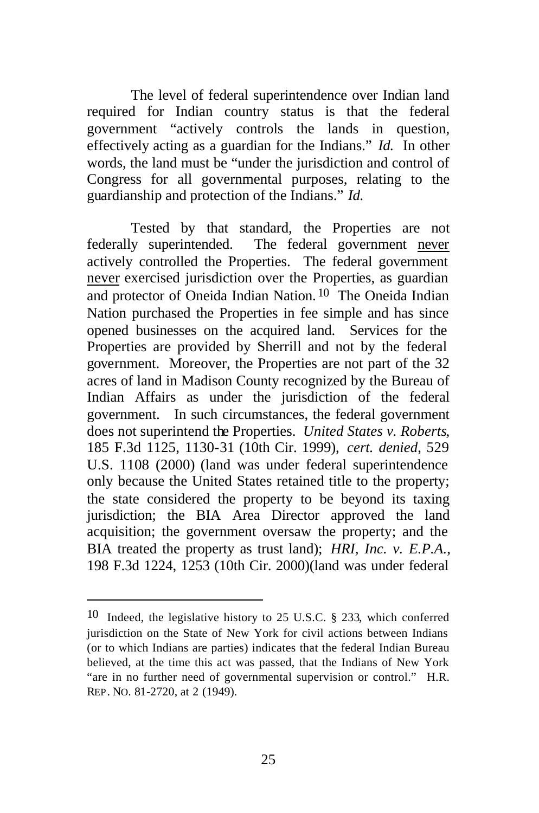The level of federal superintendence over Indian land required for Indian country status is that the federal government "actively controls the lands in question, effectively acting as a guardian for the Indians." *Id.* In other words, the land must be "under the jurisdiction and control of Congress for all governmental purposes, relating to the guardianship and protection of the Indians." *Id.*

Tested by that standard, the Properties are not federally superintended. The federal government never actively controlled the Properties. The federal government never exercised jurisdiction over the Properties, as guardian and protector of Oneida Indian Nation. 10 The Oneida Indian Nation purchased the Properties in fee simple and has since opened businesses on the acquired land. Services for the Properties are provided by Sherrill and not by the federal government. Moreover, the Properties are not part of the 32 acres of land in Madison County recognized by the Bureau of Indian Affairs as under the jurisdiction of the federal government. In such circumstances, the federal government does not superintend the Properties. *United States v. Roberts*, 185 F.3d 1125, 1130-31 (10th Cir. 1999), *cert. denied*, 529 U.S. 1108 (2000) (land was under federal superintendence only because the United States retained title to the property; the state considered the property to be beyond its taxing jurisdiction; the BIA Area Director approved the land acquisition; the government oversaw the property; and the BIA treated the property as trust land); *HRI, Inc. v. E.P.A.*, 198 F.3d 1224, 1253 (10th Cir. 2000)(land was under federal

<sup>10</sup> Indeed, the legislative history to 25 U.S.C. § 233, which conferred jurisdiction on the State of New York for civil actions between Indians (or to which Indians are parties) indicates that the federal Indian Bureau believed, at the time this act was passed, that the Indians of New York "are in no further need of governmental supervision or control." H.R. REP. NO. 81-2720, at 2 (1949).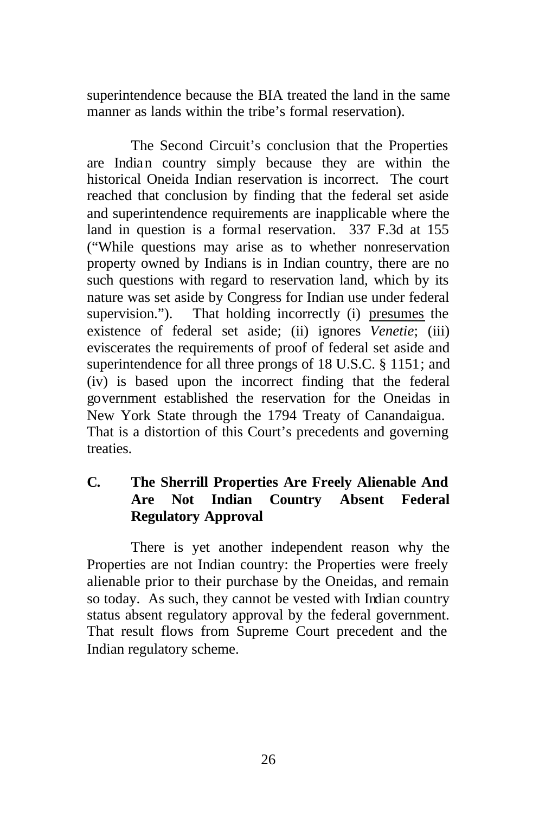superintendence because the BIA treated the land in the same manner as lands within the tribe's formal reservation).

The Second Circuit's conclusion that the Properties are Indian country simply because they are within the historical Oneida Indian reservation is incorrect. The court reached that conclusion by finding that the federal set aside and superintendence requirements are inapplicable where the land in question is a formal reservation. 337 F.3d at 155 ("While questions may arise as to whether nonreservation property owned by Indians is in Indian country, there are no such questions with regard to reservation land, which by its nature was set aside by Congress for Indian use under federal supervision."). That holding incorrectly (i) presumes the existence of federal set aside; (ii) ignores *Venetie*; (iii) eviscerates the requirements of proof of federal set aside and superintendence for all three prongs of 18 U.S.C. § 1151; and (iv) is based upon the incorrect finding that the federal government established the reservation for the Oneidas in New York State through the 1794 Treaty of Canandaigua. That is a distortion of this Court's precedents and governing treaties.

## **C. The Sherrill Properties Are Freely Alienable And Are Not Indian Country Absent Federal Regulatory Approval**

There is yet another independent reason why the Properties are not Indian country: the Properties were freely alienable prior to their purchase by the Oneidas, and remain so today. As such, they cannot be vested with Indian country status absent regulatory approval by the federal government. That result flows from Supreme Court precedent and the Indian regulatory scheme.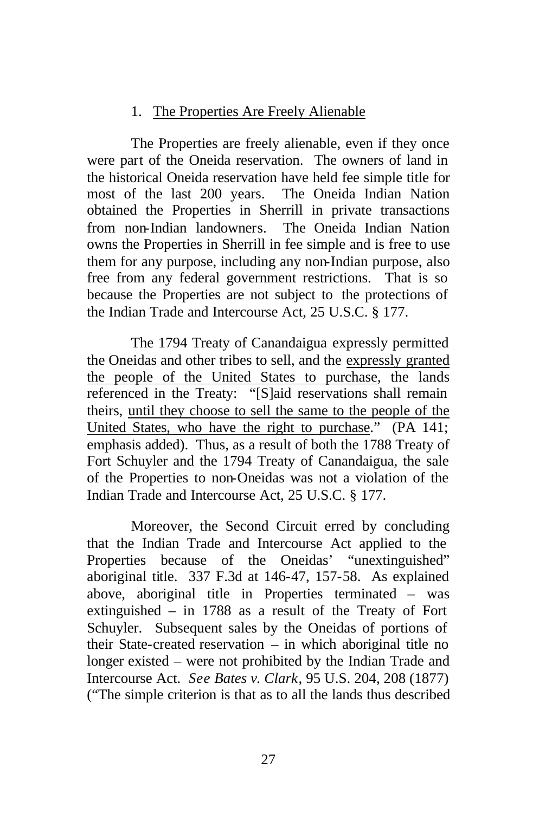## 1. The Properties Are Freely Alienable

The Properties are freely alienable, even if they once were part of the Oneida reservation. The owners of land in the historical Oneida reservation have held fee simple title for most of the last 200 years. The Oneida Indian Nation obtained the Properties in Sherrill in private transactions from non-Indian landowners. The Oneida Indian Nation owns the Properties in Sherrill in fee simple and is free to use them for any purpose, including any non-Indian purpose, also free from any federal government restrictions. That is so because the Properties are not subject to the protections of the Indian Trade and Intercourse Act, 25 U.S.C. § 177.

The 1794 Treaty of Canandaigua expressly permitted the Oneidas and other tribes to sell, and the expressly granted the people of the United States to purchase, the lands referenced in the Treaty: "[S]aid reservations shall remain theirs, until they choose to sell the same to the people of the United States, who have the right to purchase." (PA 141; emphasis added). Thus, as a result of both the 1788 Treaty of Fort Schuyler and the 1794 Treaty of Canandaigua, the sale of the Properties to non-Oneidas was not a violation of the Indian Trade and Intercourse Act, 25 U.S.C. § 177.

Moreover, the Second Circuit erred by concluding that the Indian Trade and Intercourse Act applied to the Properties because of the Oneidas' "unextinguished" aboriginal title. 337 F.3d at 146-47, 157-58. As explained above, aboriginal title in Properties terminated – was extinguished – in 1788 as a result of the Treaty of Fort Schuyler. Subsequent sales by the Oneidas of portions of their State-created reservation – in which aboriginal title no longer existed – were not prohibited by the Indian Trade and Intercourse Act. *See Bates v. Clark*, 95 U.S. 204, 208 (1877) ("The simple criterion is that as to all the lands thus described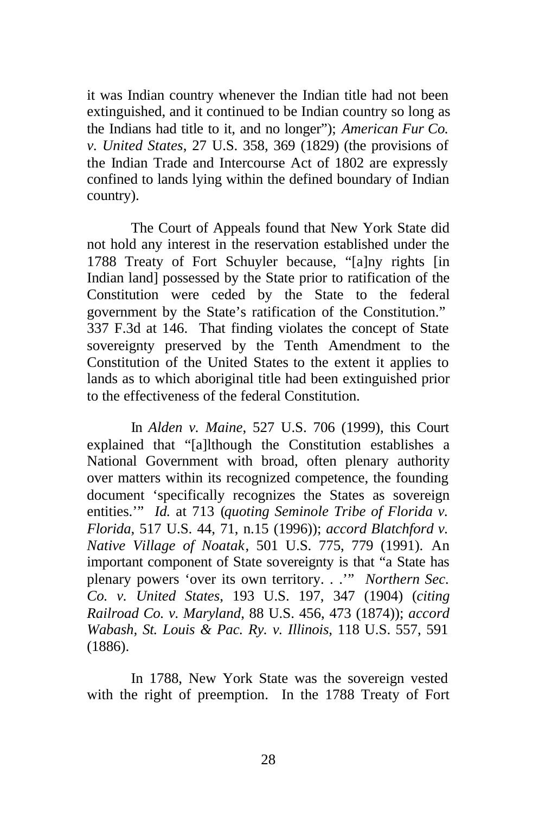it was Indian country whenever the Indian title had not been extinguished, and it continued to be Indian country so long as the Indians had title to it, and no longer"); *American Fur Co. v. United States*, 27 U.S. 358, 369 (1829) (the provisions of the Indian Trade and Intercourse Act of 1802 are expressly confined to lands lying within the defined boundary of Indian country).

The Court of Appeals found that New York State did not hold any interest in the reservation established under the 1788 Treaty of Fort Schuyler because, "[a]ny rights [in Indian land] possessed by the State prior to ratification of the Constitution were ceded by the State to the federal government by the State's ratification of the Constitution." 337 F.3d at 146. That finding violates the concept of State sovereignty preserved by the Tenth Amendment to the Constitution of the United States to the extent it applies to lands as to which aboriginal title had been extinguished prior to the effectiveness of the federal Constitution.

In *Alden v. Maine*, 527 U.S. 706 (1999), this Court explained that "[a]lthough the Constitution establishes a National Government with broad, often plenary authority over matters within its recognized competence, the founding document 'specifically recognizes the States as sovereign entities.'" *Id.* at 713 (*quoting Seminole Tribe of Florida v. Florida*, 517 U.S. 44, 71, n.15 (1996)); *accord Blatchford v. Native Village of Noatak*, 501 U.S. 775, 779 (1991). An important component of State sovereignty is that "a State has plenary powers 'over its own territory. . .'" *Northern Sec. Co. v. United States*, 193 U.S. 197, 347 (1904) (*citing Railroad Co. v. Maryland*, 88 U.S. 456, 473 (1874)); *accord Wabash, St. Louis & Pac. Ry. v. Illinois*, 118 U.S. 557, 591 (1886).

In 1788, New York State was the sovereign vested with the right of preemption. In the 1788 Treaty of Fort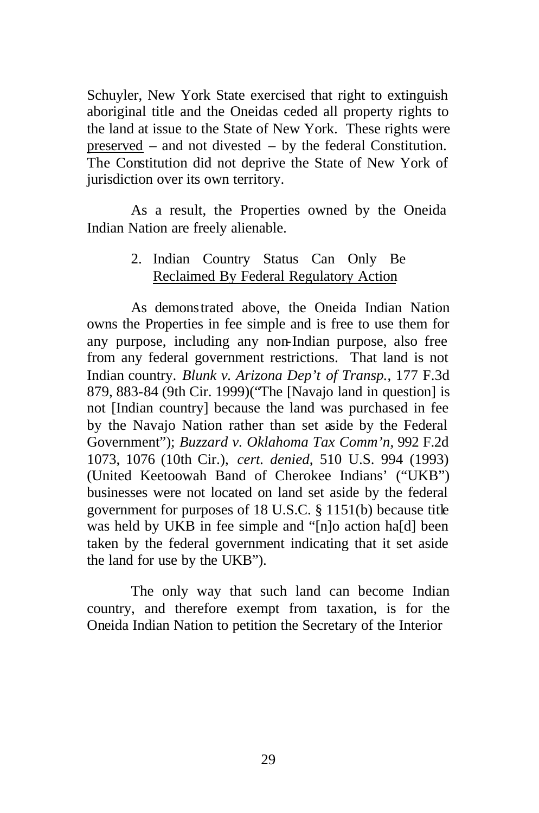Schuyler, New York State exercised that right to extinguish aboriginal title and the Oneidas ceded all property rights to the land at issue to the State of New York. These rights were preserved – and not divested – by the federal Constitution. The Constitution did not deprive the State of New York of jurisdiction over its own territory.

As a result, the Properties owned by the Oneida Indian Nation are freely alienable.

## 2. Indian Country Status Can Only Be Reclaimed By Federal Regulatory Action

As demonstrated above, the Oneida Indian Nation owns the Properties in fee simple and is free to use them for any purpose, including any non-Indian purpose, also free from any federal government restrictions. That land is not Indian country. *Blunk v. Arizona Dep't of Transp.*, 177 F.3d 879, 883-84 (9th Cir. 1999)("The [Navajo land in question] is not [Indian country] because the land was purchased in fee by the Navajo Nation rather than set aside by the Federal Government"); *Buzzard v. Oklahoma Tax Comm'n*, 992 F.2d 1073, 1076 (10th Cir.), *cert. denied*, 510 U.S. 994 (1993) (United Keetoowah Band of Cherokee Indians' ("UKB") businesses were not located on land set aside by the federal government for purposes of 18 U.S.C. § 1151(b) because title was held by UKB in fee simple and "[n]o action ha[d] been taken by the federal government indicating that it set aside the land for use by the UKB").

The only way that such land can become Indian country, and therefore exempt from taxation, is for the Oneida Indian Nation to petition the Secretary of the Interior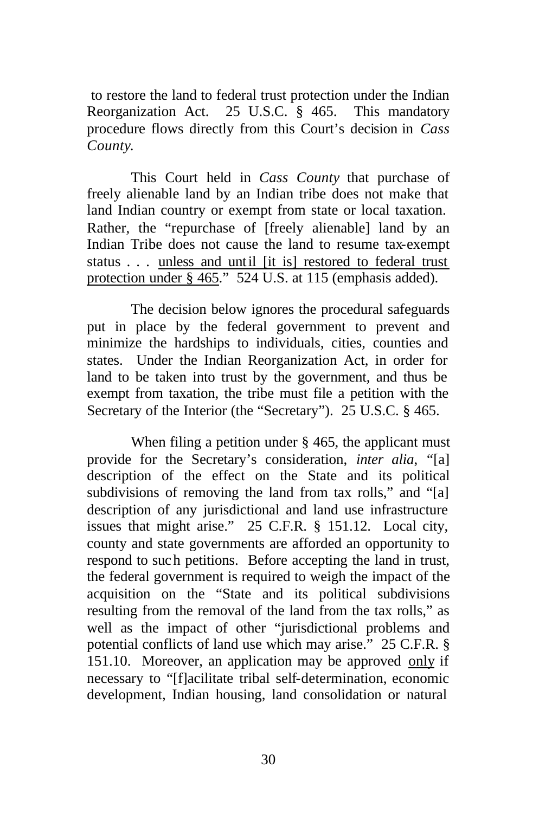to restore the land to federal trust protection under the Indian Reorganization Act. 25 U.S.C. § 465. This mandatory procedure flows directly from this Court's decision in *Cass County*.

This Court held in *Cass County* that purchase of freely alienable land by an Indian tribe does not make that land Indian country or exempt from state or local taxation. Rather, the "repurchase of [freely alienable] land by an Indian Tribe does not cause the land to resume tax-exempt status . . . unless and until [it is] restored to federal trust protection under § 465." 524 U.S. at 115 (emphasis added).

The decision below ignores the procedural safeguards put in place by the federal government to prevent and minimize the hardships to individuals, cities, counties and states. Under the Indian Reorganization Act, in order for land to be taken into trust by the government, and thus be exempt from taxation, the tribe must file a petition with the Secretary of the Interior (the "Secretary"). 25 U.S.C. § 465.

When filing a petition under § 465, the applicant must provide for the Secretary's consideration, *inter alia*, "[a] description of the effect on the State and its political subdivisions of removing the land from tax rolls," and "[a] description of any jurisdictional and land use infrastructure issues that might arise." 25 C.F.R. § 151.12. Local city, county and state governments are afforded an opportunity to respond to such petitions. Before accepting the land in trust, the federal government is required to weigh the impact of the acquisition on the "State and its political subdivisions resulting from the removal of the land from the tax rolls," as well as the impact of other "jurisdictional problems and potential conflicts of land use which may arise." 25 C.F.R. § 151.10. Moreover, an application may be approved only if necessary to "[f]acilitate tribal self-determination, economic development, Indian housing, land consolidation or natural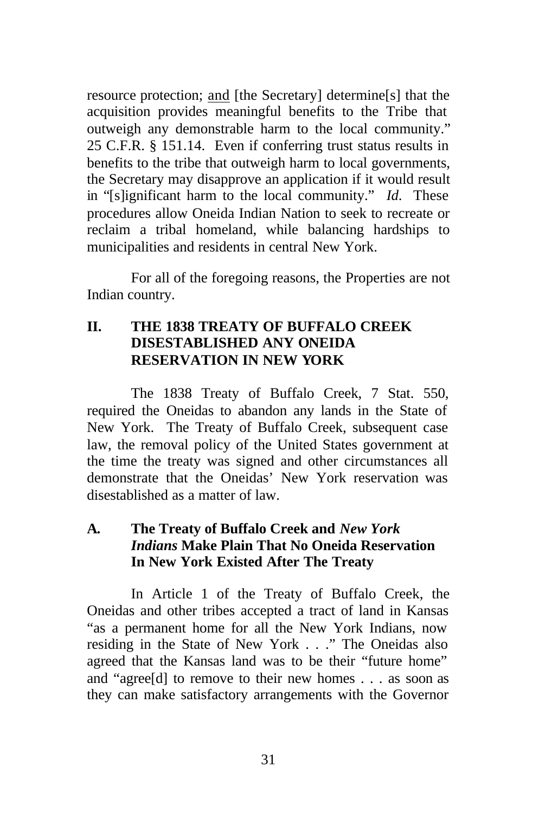resource protection; and [the Secretary] determine[s] that the acquisition provides meaningful benefits to the Tribe that outweigh any demonstrable harm to the local community." 25 C.F.R. § 151.14. Even if conferring trust status results in benefits to the tribe that outweigh harm to local governments, the Secretary may disapprove an application if it would result in "[s]ignificant harm to the local community." *Id*. These procedures allow Oneida Indian Nation to seek to recreate or reclaim a tribal homeland, while balancing hardships to municipalities and residents in central New York.

For all of the foregoing reasons, the Properties are not Indian country.

## **II. THE 1838 TREATY OF BUFFALO CREEK DISESTABLISHED ANY ONEIDA RESERVATION IN NEW YORK**

The 1838 Treaty of Buffalo Creek, 7 Stat. 550, required the Oneidas to abandon any lands in the State of New York. The Treaty of Buffalo Creek, subsequent case law, the removal policy of the United States government at the time the treaty was signed and other circumstances all demonstrate that the Oneidas' New York reservation was disestablished as a matter of law.

## **A. The Treaty of Buffalo Creek and** *New York Indians* **Make Plain That No Oneida Reservation In New York Existed After The Treaty**

In Article 1 of the Treaty of Buffalo Creek, the Oneidas and other tribes accepted a tract of land in Kansas "as a permanent home for all the New York Indians, now residing in the State of New York . . ." The Oneidas also agreed that the Kansas land was to be their "future home" and "agree[d] to remove to their new homes . . . as soon as they can make satisfactory arrangements with the Governor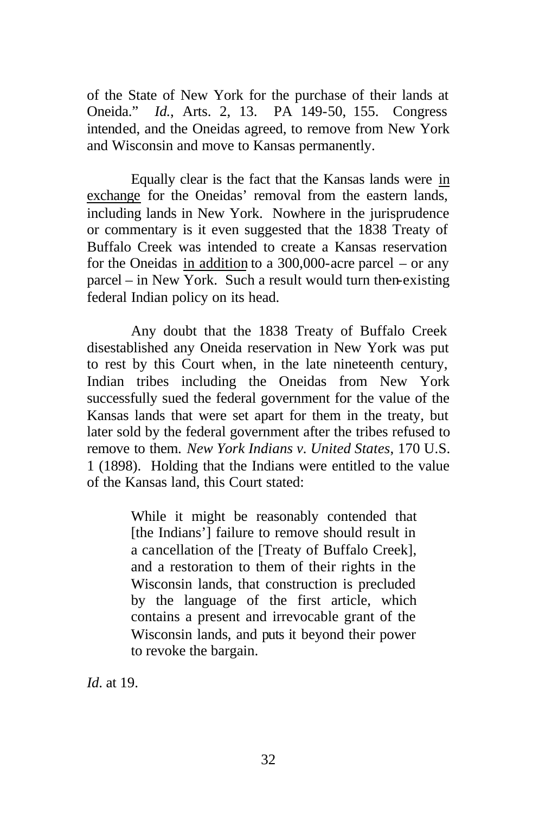of the State of New York for the purchase of their lands at Oneida." *Id.*, Arts. 2, 13. PA 149-50, 155. Congress intended, and the Oneidas agreed, to remove from New York and Wisconsin and move to Kansas permanently.

Equally clear is the fact that the Kansas lands were in exchange for the Oneidas' removal from the eastern lands, including lands in New York. Nowhere in the jurisprudence or commentary is it even suggested that the 1838 Treaty of Buffalo Creek was intended to create a Kansas reservation for the Oneidas in addition to a 300,000-acre parcel – or any parcel – in New York. Such a result would turn then-existing federal Indian policy on its head.

Any doubt that the 1838 Treaty of Buffalo Creek disestablished any Oneida reservation in New York was put to rest by this Court when, in the late nineteenth century, Indian tribes including the Oneidas from New York successfully sued the federal government for the value of the Kansas lands that were set apart for them in the treaty, but later sold by the federal government after the tribes refused to remove to them. *New York Indians v. United States*, 170 U.S. 1 (1898). Holding that the Indians were entitled to the value of the Kansas land, this Court stated:

> While it might be reasonably contended that [the Indians'] failure to remove should result in a cancellation of the [Treaty of Buffalo Creek], and a restoration to them of their rights in the Wisconsin lands, that construction is precluded by the language of the first article, which contains a present and irrevocable grant of the Wisconsin lands, and puts it beyond their power to revoke the bargain.

*Id*. at 19.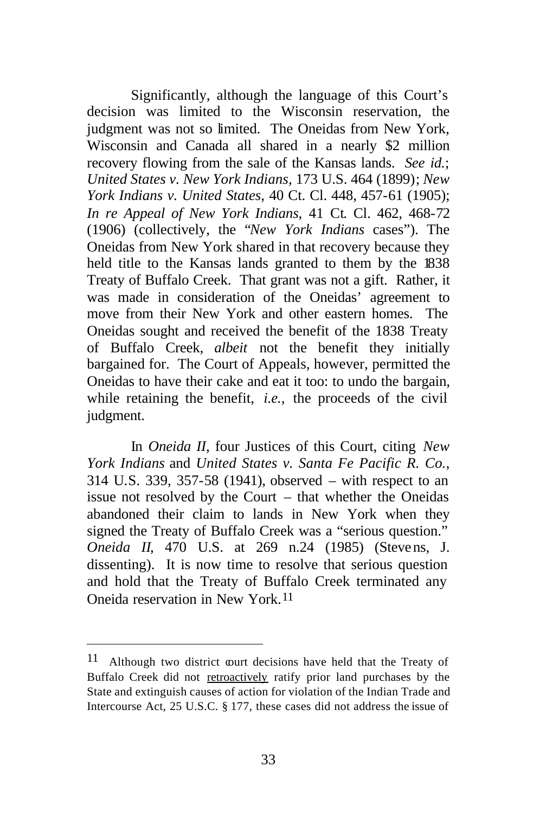Significantly, although the language of this Court's decision was limited to the Wisconsin reservation, the judgment was not so limited. The Oneidas from New York, Wisconsin and Canada all shared in a nearly \$2 million recovery flowing from the sale of the Kansas lands. *See id.*; *United States v. New York Indians*, 173 U.S. 464 (1899); *New York Indians v. United States*, 40 Ct. Cl. 448, 457-61 (1905); *In re Appeal of New York Indians*, 41 Ct. Cl. 462, 468-72 (1906) (collectively, the "*New York Indians* cases"). The Oneidas from New York shared in that recovery because they held title to the Kansas lands granted to them by the 1838 Treaty of Buffalo Creek. That grant was not a gift. Rather, it was made in consideration of the Oneidas' agreement to move from their New York and other eastern homes. The Oneidas sought and received the benefit of the 1838 Treaty of Buffalo Creek, *albeit* not the benefit they initially bargained for. The Court of Appeals, however, permitted the Oneidas to have their cake and eat it too: to undo the bargain, while retaining the benefit, *i.e.,* the proceeds of the civil judgment.

In *Oneida II*, four Justices of this Court, citing *New York Indians* and *United States v. Santa Fe Pacific R. Co.*, 314 U.S. 339, 357-58 (1941), observed – with respect to an issue not resolved by the Court – that whether the Oneidas abandoned their claim to lands in New York when they signed the Treaty of Buffalo Creek was a "serious question." *Oneida II*, 470 U.S. at 269 n.24 (1985) (Stevens, J. dissenting). It is now time to resolve that serious question and hold that the Treaty of Buffalo Creek terminated any Oneida reservation in New York.11

 $11$  Although two district court decisions have held that the Treaty of Buffalo Creek did not retroactively ratify prior land purchases by the State and extinguish causes of action for violation of the Indian Trade and Intercourse Act, 25 U.S.C. § 177, these cases did not address the issue of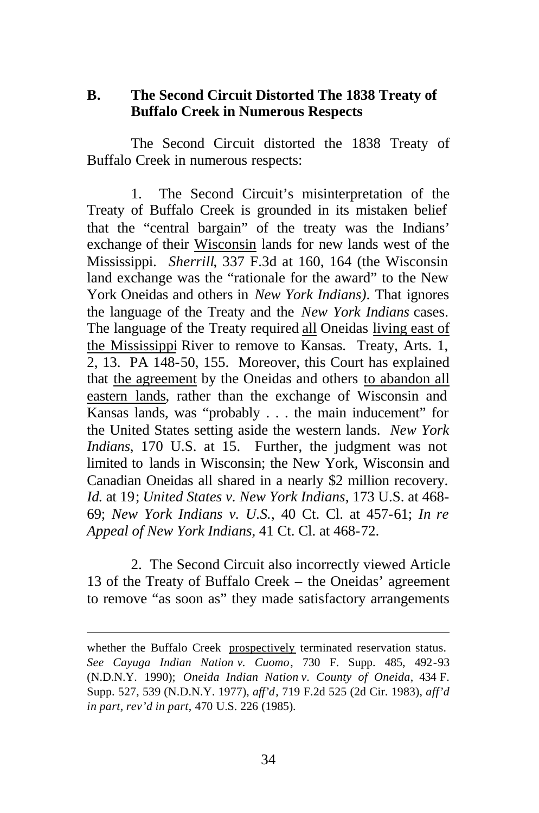### **B. The Second Circuit Distorted The 1838 Treaty of Buffalo Creek in Numerous Respects**

The Second Circuit distorted the 1838 Treaty of Buffalo Creek in numerous respects:

1. The Second Circuit's misinterpretation of the Treaty of Buffalo Creek is grounded in its mistaken belief that the "central bargain" of the treaty was the Indians' exchange of their Wisconsin lands for new lands west of the Mississippi. *Sherrill*, 337 F.3d at 160, 164 (the Wisconsin land exchange was the "rationale for the award" to the New York Oneidas and others in *New York Indians)*. That ignores the language of the Treaty and the *New York Indians* cases. The language of the Treaty required all Oneidas living east of the Mississippi River to remove to Kansas. Treaty, Arts. 1, 2, 13. PA 148-50, 155. Moreover, this Court has explained that the agreement by the Oneidas and others to abandon all eastern lands, rather than the exchange of Wisconsin and Kansas lands, was "probably . . . the main inducement" for the United States setting aside the western lands. *New York Indians*, 170 U.S. at 15. Further, the judgment was not limited to lands in Wisconsin; the New York, Wisconsin and Canadian Oneidas all shared in a nearly \$2 million recovery. *Id.* at 19; *United States v. New York Indians*, 173 U.S. at 468- 69; *New York Indians v. U.S.*, 40 Ct. Cl. at 457-61; *In re Appeal of New York Indians*, 41 Ct. Cl. at 468-72.

2. The Second Circuit also incorrectly viewed Article 13 of the Treaty of Buffalo Creek – the Oneidas' agreement to remove "as soon as" they made satisfactory arrangements

whether the Buffalo Creek prospectively terminated reservation status. *See Cayuga Indian Nation v. Cuomo*, 730 F. Supp. 485, 492-93 (N.D.N.Y. 1990); *Oneida Indian Nation v. County of Oneida*, 434 F. Supp. 527, 539 (N.D.N.Y. 1977), *aff'd*, 719 F.2d 525 (2d Cir. 1983), *aff'd in part, rev'd in part*, 470 U.S. 226 (1985).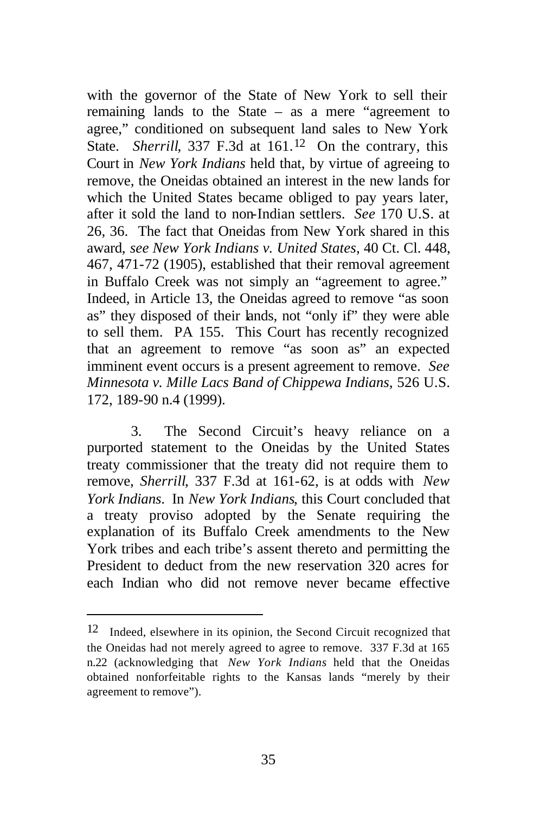with the governor of the State of New York to sell their remaining lands to the State – as a mere "agreement to agree," conditioned on subsequent land sales to New York State. *Sherrill*, 337 F.3d at 161.<sup>12</sup> On the contrary, this Court in *New York Indians* held that, by virtue of agreeing to remove, the Oneidas obtained an interest in the new lands for which the United States became obliged to pay years later, after it sold the land to non-Indian settlers. *See* 170 U.S. at 26, 36. The fact that Oneidas from New York shared in this award, *see New York Indians v. United States*, 40 Ct. Cl. 448, 467, 471-72 (1905), established that their removal agreement in Buffalo Creek was not simply an "agreement to agree." Indeed, in Article 13, the Oneidas agreed to remove "as soon as" they disposed of their lands, not "only if" they were able to sell them. PA 155. This Court has recently recognized that an agreement to remove "as soon as" an expected imminent event occurs is a present agreement to remove. *See Minnesota v. Mille Lacs Band of Chippewa Indians*, 526 U.S. 172, 189-90 n.4 (1999).

3. The Second Circuit's heavy reliance on a purported statement to the Oneidas by the United States treaty commissioner that the treaty did not require them to remove, *Sherrill*, 337 F.3d at 161-62, is at odds with *New York Indians*. In *New York Indians*, this Court concluded that a treaty proviso adopted by the Senate requiring the explanation of its Buffalo Creek amendments to the New York tribes and each tribe's assent thereto and permitting the President to deduct from the new reservation 320 acres for each Indian who did not remove never became effective

 $12$  Indeed, elsewhere in its opinion, the Second Circuit recognized that the Oneidas had not merely agreed to agree to remove. 337 F.3d at 165 n.22 (acknowledging that *New York Indians* held that the Oneidas obtained nonforfeitable rights to the Kansas lands "merely by their agreement to remove").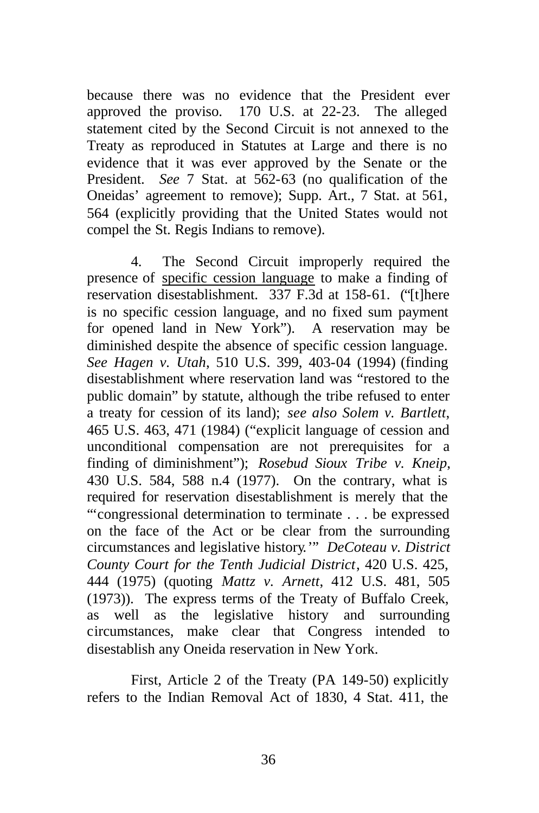because there was no evidence that the President ever approved the proviso. 170 U.S. at 22-23. The alleged statement cited by the Second Circuit is not annexed to the Treaty as reproduced in Statutes at Large and there is no evidence that it was ever approved by the Senate or the President. *See* 7 Stat. at 562-63 (no qualification of the Oneidas' agreement to remove); Supp. Art., 7 Stat. at 561, 564 (explicitly providing that the United States would not compel the St. Regis Indians to remove).

4. The Second Circuit improperly required the presence of specific cession language to make a finding of reservation disestablishment. 337 F.3d at 158-61. ("[t]here is no specific cession language, and no fixed sum payment for opened land in New York"). A reservation may be diminished despite the absence of specific cession language. *See Hagen v. Utah*, 510 U.S. 399, 403-04 (1994) (finding disestablishment where reservation land was "restored to the public domain" by statute, although the tribe refused to enter a treaty for cession of its land); *see also Solem v. Bartlett*, 465 U.S. 463, 471 (1984) ("explicit language of cession and unconditional compensation are not prerequisites for a finding of diminishment"); *Rosebud Sioux Tribe v. Kneip*, 430 U.S. 584, 588 n.4 (1977). On the contrary, what is required for reservation disestablishment is merely that the "'congressional determination to terminate . . . be expressed on the face of the Act or be clear from the surrounding circumstances and legislative history*.*'" *DeCoteau v. District County Court for the Tenth Judicial District*, 420 U.S. 425, 444 (1975) (quoting *Mattz v. Arnett*, 412 U.S. 481, 505 (1973)). The express terms of the Treaty of Buffalo Creek, as well as the legislative history and surrounding circumstances, make clear that Congress intended to disestablish any Oneida reservation in New York.

First, Article 2 of the Treaty (PA 149-50) explicitly refers to the Indian Removal Act of 1830, 4 Stat. 411, the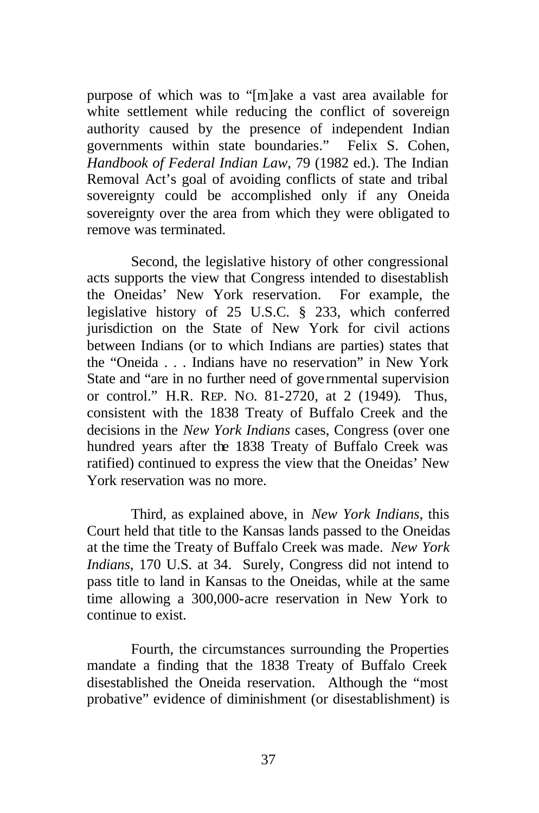purpose of which was to "[m]ake a vast area available for white settlement while reducing the conflict of sovereign authority caused by the presence of independent Indian governments within state boundaries." Felix S. Cohen, *Handbook of Federal Indian Law*, 79 (1982 ed.). The Indian Removal Act's goal of avoiding conflicts of state and tribal sovereignty could be accomplished only if any Oneida sovereignty over the area from which they were obligated to remove was terminated.

Second, the legislative history of other congressional acts supports the view that Congress intended to disestablish the Oneidas' New York reservation. For example, the legislative history of 25 U.S.C. § 233, which conferred jurisdiction on the State of New York for civil actions between Indians (or to which Indians are parties) states that the "Oneida . . . Indians have no reservation" in New York State and "are in no further need of gove rnmental supervision or control." H.R. REP. NO. 81-2720, at 2 (1949). Thus, consistent with the 1838 Treaty of Buffalo Creek and the decisions in the *New York Indians* cases, Congress (over one hundred years after the 1838 Treaty of Buffalo Creek was ratified) continued to express the view that the Oneidas' New York reservation was no more.

Third, as explained above, in *New York Indians*, this Court held that title to the Kansas lands passed to the Oneidas at the time the Treaty of Buffalo Creek was made. *New York Indians*, 170 U.S. at 34.Surely, Congress did not intend to pass title to land in Kansas to the Oneidas, while at the same time allowing a 300,000-acre reservation in New York to continue to exist.

Fourth, the circumstances surrounding the Properties mandate a finding that the 1838 Treaty of Buffalo Creek disestablished the Oneida reservation. Although the "most probative" evidence of diminishment (or disestablishment) is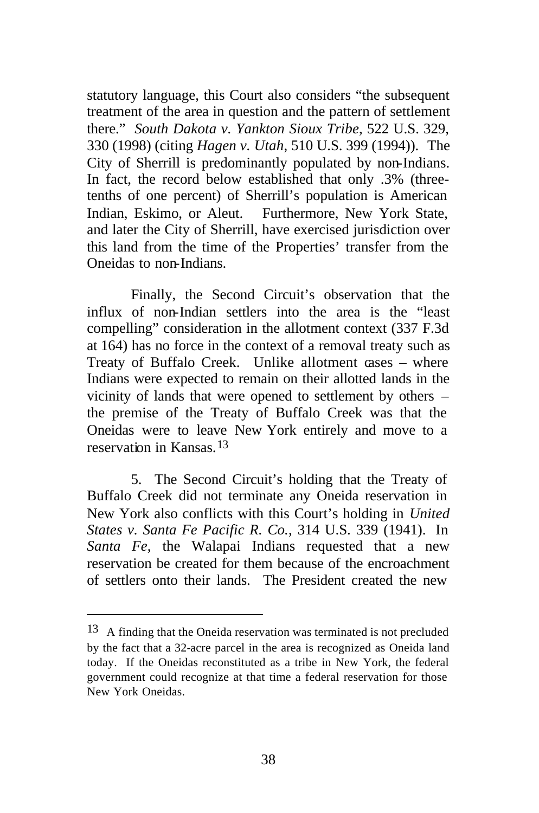statutory language, this Court also considers "the subsequent treatment of the area in question and the pattern of settlement there." *South Dakota v. Yankton Sioux Tribe*, 522 U.S. 329, 330 (1998) (citing *Hagen v. Utah*, 510 U.S. 399 (1994)). The City of Sherrill is predominantly populated by non-Indians. In fact, the record below established that only .3% (threetenths of one percent) of Sherrill's population is American Indian, Eskimo, or Aleut. Furthermore, New York State, and later the City of Sherrill, have exercised jurisdiction over this land from the time of the Properties' transfer from the Oneidas to non-Indians.

Finally, the Second Circuit's observation that the influx of non-Indian settlers into the area is the "least compelling" consideration in the allotment context (337 F.3d at 164) has no force in the context of a removal treaty such as Treaty of Buffalo Creek. Unlike allotment cases – where Indians were expected to remain on their allotted lands in the vicinity of lands that were opened to settlement by others – the premise of the Treaty of Buffalo Creek was that the Oneidas were to leave New York entirely and move to a reservation in Kansas<sup>13</sup>

5. The Second Circuit's holding that the Treaty of Buffalo Creek did not terminate any Oneida reservation in New York also conflicts with this Court's holding in *United States v. Santa Fe Pacific R. Co.*, 314 U.S. 339 (1941). In *Santa Fe*, the Walapai Indians requested that a new reservation be created for them because of the encroachment of settlers onto their lands. The President created the new

<sup>13</sup> A finding that the Oneida reservation was terminated is not precluded by the fact that a 32-acre parcel in the area is recognized as Oneida land today. If the Oneidas reconstituted as a tribe in New York, the federal government could recognize at that time a federal reservation for those New York Oneidas.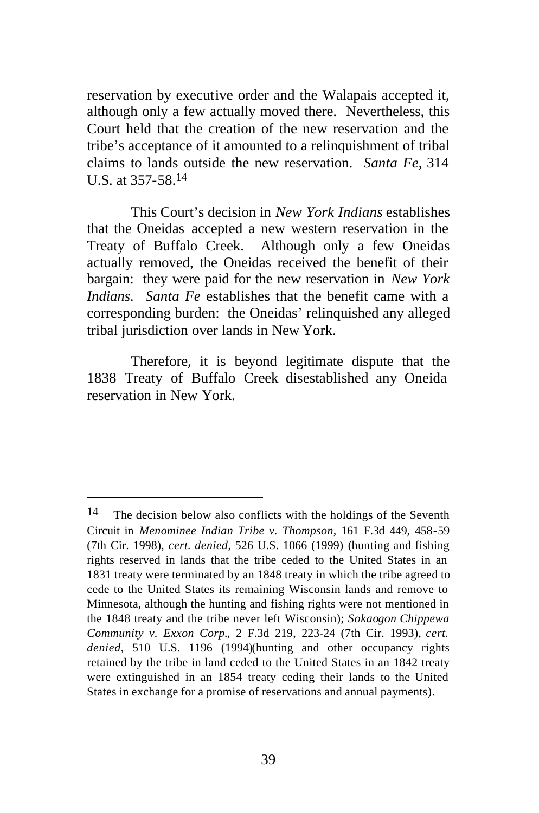reservation by executive order and the Walapais accepted it, although only a few actually moved there. Nevertheless, this Court held that the creation of the new reservation and the tribe's acceptance of it amounted to a relinquishment of tribal claims to lands outside the new reservation. *Santa Fe*, 314 U.S. at 357-58. 14

This Court's decision in *New York Indians* establishes that the Oneidas accepted a new western reservation in the Treaty of Buffalo Creek. Although only a few Oneidas actually removed, the Oneidas received the benefit of their bargain: they were paid for the new reservation in *New York Indians*. *Santa Fe* establishes that the benefit came with a corresponding burden: the Oneidas' relinquished any alleged tribal jurisdiction over lands in New York.

Therefore, it is beyond legitimate dispute that the 1838 Treaty of Buffalo Creek disestablished any Oneida reservation in New York.

 $14$  The decision below also conflicts with the holdings of the Seventh Circuit in *Menominee Indian Tribe v. Thompson*, 161 F.3d 449, 458-59 (7th Cir. 1998), *cert. denied*, 526 U.S. 1066 (1999) (hunting and fishing rights reserved in lands that the tribe ceded to the United States in an 1831 treaty were terminated by an 1848 treaty in which the tribe agreed to cede to the United States its remaining Wisconsin lands and remove to Minnesota, although the hunting and fishing rights were not mentioned in the 1848 treaty and the tribe never left Wisconsin); *Sokaogon Chippewa Community v. Exxon Corp.*, 2 F.3d 219, 223-24 (7th Cir. 1993), *cert. denied*, 510 U.S. 1196 (1994)(hunting and other occupancy rights retained by the tribe in land ceded to the United States in an 1842 treaty were extinguished in an 1854 treaty ceding their lands to the United States in exchange for a promise of reservations and annual payments).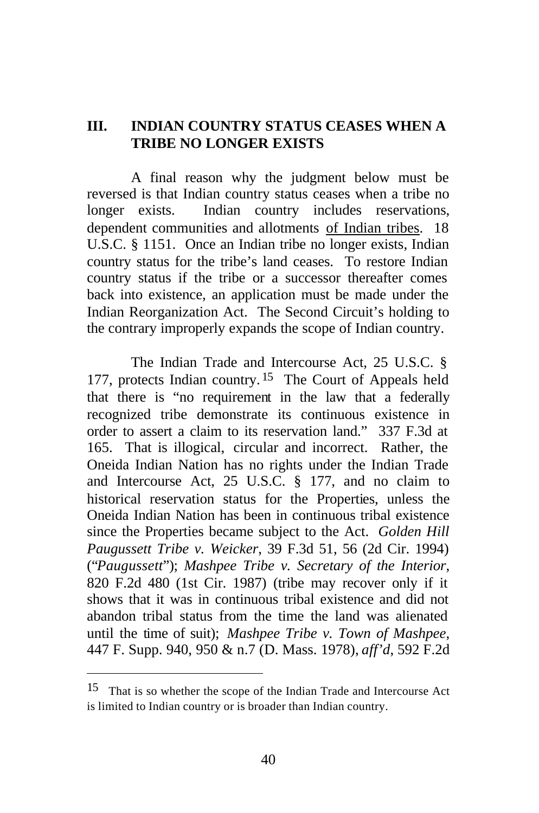### **III. INDIAN COUNTRY STATUS CEASES WHEN A TRIBE NO LONGER EXISTS**

A final reason why the judgment below must be reversed is that Indian country status ceases when a tribe no longer exists. Indian country includes reservations, dependent communities and allotments of Indian tribes. 18 U.S.C. § 1151. Once an Indian tribe no longer exists, Indian country status for the tribe's land ceases. To restore Indian country status if the tribe or a successor thereafter comes back into existence, an application must be made under the Indian Reorganization Act. The Second Circuit's holding to the contrary improperly expands the scope of Indian country.

The Indian Trade and Intercourse Act, 25 U.S.C. § 177, protects Indian country. 15 The Court of Appeals held that there is "no requirement in the law that a federally recognized tribe demonstrate its continuous existence in order to assert a claim to its reservation land." 337 F.3d at 165. That is illogical, circular and incorrect. Rather, the Oneida Indian Nation has no rights under the Indian Trade and Intercourse Act, 25 U.S.C. § 177, and no claim to historical reservation status for the Properties, unless the Oneida Indian Nation has been in continuous tribal existence since the Properties became subject to the Act. *Golden Hill Paugussett Tribe v. Weicker*, 39 F.3d 51, 56 (2d Cir. 1994) ("*Paugussett*"); *Mashpee Tribe v. Secretary of the Interior*, 820 F.2d 480 (1st Cir. 1987) (tribe may recover only if it shows that it was in continuous tribal existence and did not abandon tribal status from the time the land was alienated until the time of suit); *Mashpee Tribe v. Town of Mashpee*, 447 F. Supp. 940, 950 & n.7 (D. Mass. 1978), *aff'd*, 592 F.2d

<sup>15</sup> That is so whether the scope of the Indian Trade and Intercourse Act is limited to Indian country or is broader than Indian country.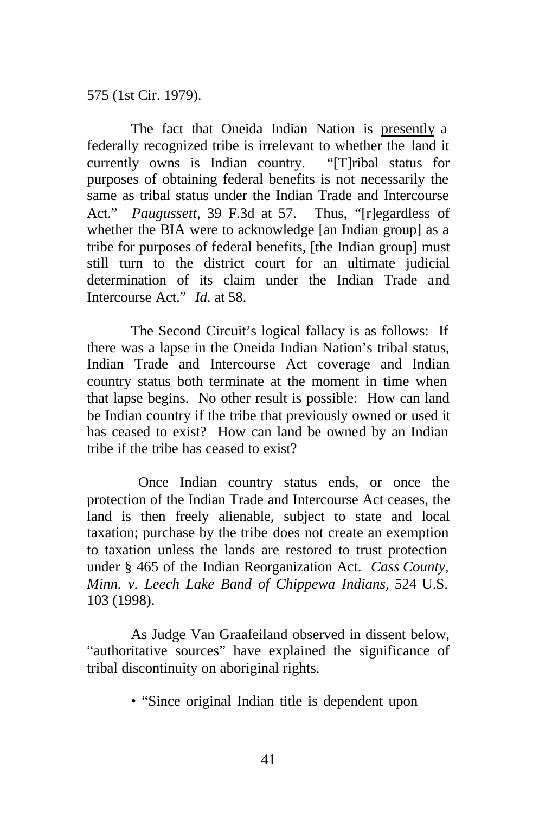575 (1st Cir. 1979).

The fact that Oneida Indian Nation is presently a federally recognized tribe is irrelevant to whether the land it currently owns is Indian country. "[T]ribal status for purposes of obtaining federal benefits is not necessarily the same as tribal status under the Indian Trade and Intercourse Act." *Paugussett*, 39 F.3d at 57. Thus, "[r]egardless of whether the BIA were to acknowledge [an Indian group] as a tribe for purposes of federal benefits, [the Indian group] must still turn to the district court for an ultimate judicial determination of its claim under the Indian Trade and Intercourse Act." *Id*. at 58.

The Second Circuit's logical fallacy is as follows: If there was a lapse in the Oneida Indian Nation's tribal status, Indian Trade and Intercourse Act coverage and Indian country status both terminate at the moment in time when that lapse begins. No other result is possible: How can land be Indian country if the tribe that previously owned or used it has ceased to exist? How can land be owned by an Indian tribe if the tribe has ceased to exist?

 Once Indian country status ends, or once the protection of the Indian Trade and Intercourse Act ceases, the land is then freely alienable, subject to state and local taxation; purchase by the tribe does not create an exemption to taxation unless the lands are restored to trust protection under § 465 of the Indian Reorganization Act. *Cass County, Minn. v. Leech Lake Band of Chippewa Indians*, 524 U.S. 103 (1998).

As Judge Van Graafeiland observed in dissent below, "authoritative sources" have explained the significance of tribal discontinuity on aboriginal rights.

• "Since original Indian title is dependent upon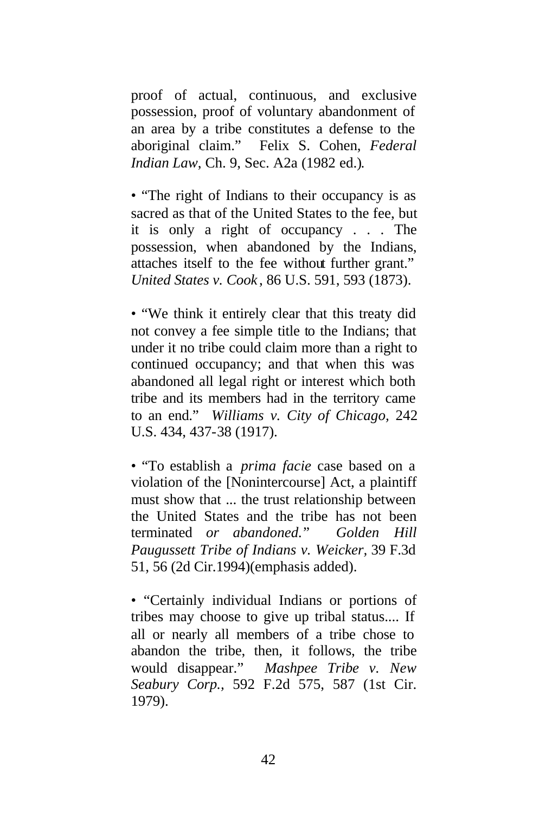proof of actual, continuous, and exclusive possession, proof of voluntary abandonment of an area by a tribe constitutes a defense to the aboriginal claim." Felix S. Cohen, *Federal Indian Law*, Ch. 9, Sec. A2a (1982 ed.).

• "The right of Indians to their occupancy is as sacred as that of the United States to the fee, but it is only a right of occupancy . . . The possession, when abandoned by the Indians, attaches itself to the fee without further grant." *United States v. Cook* , 86 U.S. 591, 593 (1873).

• "We think it entirely clear that this treaty did not convey a fee simple title to the Indians; that under it no tribe could claim more than a right to continued occupancy; and that when this was abandoned all legal right or interest which both tribe and its members had in the territory came to an end." *Williams v. City of Chicago,* 242 U.S. 434, 437-38 (1917).

• "To establish a *prima facie* case based on a violation of the [Nonintercourse] Act, a plaintiff must show that ... the trust relationship between the United States and the tribe has not been terminated *or abandoned.*" *Golden Hill Paugussett Tribe of Indians v. Weicker,* 39 F.3d 51, 56 (2d Cir.1994)(emphasis added).

• "Certainly individual Indians or portions of tribes may choose to give up tribal status.... If all or nearly all members of a tribe chose to abandon the tribe, then, it follows, the tribe would disappear." *Mashpee Tribe v. New Seabury Corp.,* 592 F.2d 575, 587 (1st Cir. 1979).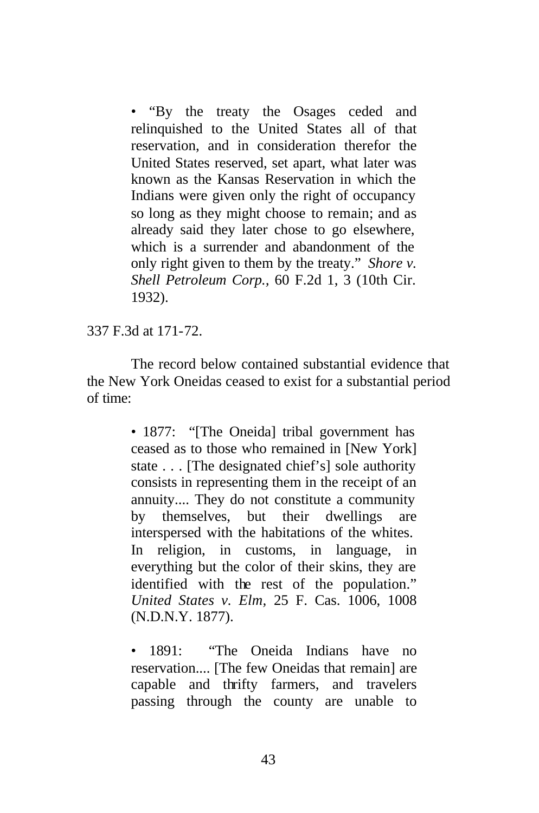• "By the treaty the Osages ceded and relinquished to the United States all of that reservation, and in consideration therefor the United States reserved, set apart, what later was known as the Kansas Reservation in which the Indians were given only the right of occupancy so long as they might choose to remain; and as already said they later chose to go elsewhere, which is a surrender and abandonment of the only right given to them by the treaty." *Shore v. Shell Petroleum Corp.,* 60 F.2d 1, 3 (10th Cir. 1932).

337 F.3d at 171-72.

The record below contained substantial evidence that the New York Oneidas ceased to exist for a substantial period of time:

> • 1877: "The Oneidal tribal government has ceased as to those who remained in [New York] state . . . [The designated chief's] sole authority consists in representing them in the receipt of an annuity.... They do not constitute a community by themselves, but their dwellings are interspersed with the habitations of the whites. In religion, in customs, in language, in everything but the color of their skins, they are identified with the rest of the population." *United States v. Elm,* 25 F. Cas. 1006, 1008 (N.D.N.Y. 1877).

> • 1891: "The Oneida Indians have no reservation.... [The few Oneidas that remain] are capable and thrifty farmers, and travelers passing through the county are unable to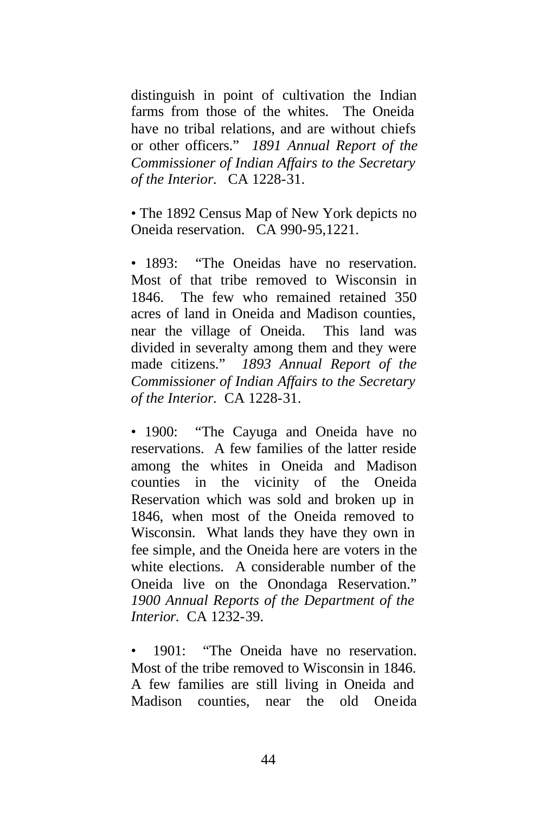distinguish in point of cultivation the Indian farms from those of the whites. The Oneida have no tribal relations, and are without chiefs or other officers." *1891 Annual Report of the Commissioner of Indian Affairs to the Secretary of the Interior.* CA 1228-31.

• The 1892 Census Map of New York depicts no Oneida reservation. CA 990-95,1221.

• 1893: "The Oneidas have no reservation. Most of that tribe removed to Wisconsin in 1846. The few who remained retained 350 acres of land in Oneida and Madison counties, near the village of Oneida. This land was divided in severalty among them and they were made citizens." *1893 Annual Report of the Commissioner of Indian Affairs to the Secretary of the Interior.* CA 1228-31.

• 1900: "The Cayuga and Oneida have no reservations. A few families of the latter reside among the whites in Oneida and Madison counties in the vicinity of the Oneida Reservation which was sold and broken up in 1846, when most of the Oneida removed to Wisconsin. What lands they have they own in fee simple, and the Oneida here are voters in the white elections. A considerable number of the Oneida live on the Onondaga Reservation." *1900 Annual Reports of the Department of the Interior.* CA 1232-39.

1901: "The Oneida have no reservation. Most of the tribe removed to Wisconsin in 1846. A few families are still living in Oneida and Madison counties, near the old Oneida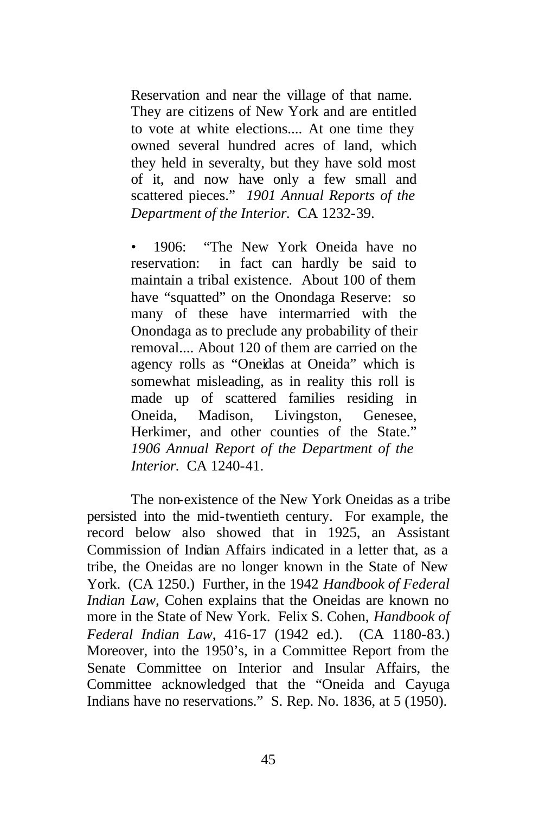Reservation and near the village of that name. They are citizens of New York and are entitled to vote at white elections.... At one time they owned several hundred acres of land, which they held in severalty, but they have sold most of it, and now have only a few small and scattered pieces." *1901 Annual Reports of the Department of the Interior.* CA 1232-39.

• 1906: "The New York Oneida have no reservation: in fact can hardly be said to maintain a tribal existence. About 100 of them have "squatted" on the Onondaga Reserve: so many of these have intermarried with the Onondaga as to preclude any probability of their removal.... About 120 of them are carried on the agency rolls as "Oneidas at Oneida" which is somewhat misleading, as in reality this roll is made up of scattered families residing in Oneida, Madison, Livingston, Genesee, Herkimer, and other counties of the State." *1906 Annual Report of the Department of the Interior.* CA 1240-41.

The non-existence of the New York Oneidas as a tribe persisted into the mid-twentieth century. For example, the record below also showed that in 1925, an Assistant Commission of Indian Affairs indicated in a letter that, as a tribe, the Oneidas are no longer known in the State of New York. (CA 1250.) Further, in the 1942 *Handbook of Federal Indian Law*, Cohen explains that the Oneidas are known no more in the State of New York. Felix S. Cohen, *Handbook of Federal Indian Law*, 416-17 (1942 ed.). (CA 1180-83.) Moreover, into the 1950's, in a Committee Report from the Senate Committee on Interior and Insular Affairs, the Committee acknowledged that the "Oneida and Cayuga Indians have no reservations." S. Rep. No. 1836, at 5 (1950).